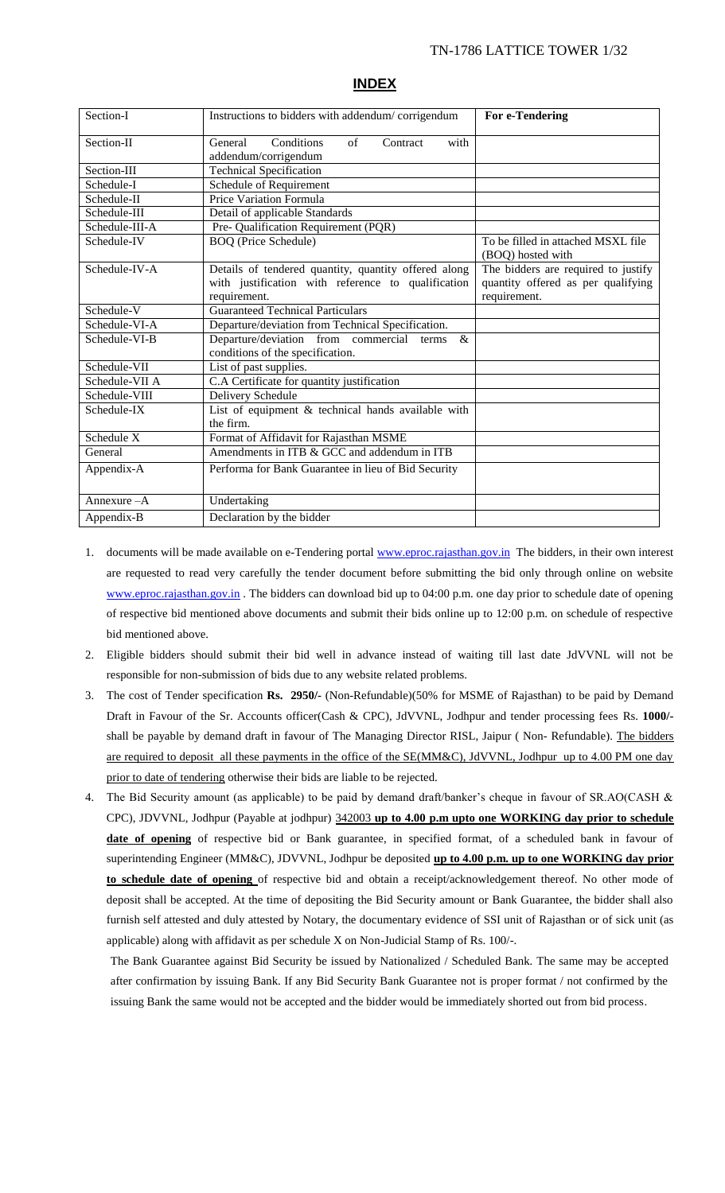| Section-I      | Instructions to bidders with addendum/corrigendum                                                                          | For e-Tendering                                                                           |
|----------------|----------------------------------------------------------------------------------------------------------------------------|-------------------------------------------------------------------------------------------|
| Section-II     | Conditions<br>General<br>$\sigma$ f<br>Contract<br>with<br>addendum/corrigendum                                            |                                                                                           |
| Section-III    | <b>Technical Specification</b>                                                                                             |                                                                                           |
| Schedule-I     | Schedule of Requirement                                                                                                    |                                                                                           |
| Schedule-II    | Price Variation Formula                                                                                                    |                                                                                           |
| Schedule-III   | Detail of applicable Standards                                                                                             |                                                                                           |
| Schedule-III-A | Pre- Qualification Requirement (PQR)                                                                                       |                                                                                           |
| Schedule-IV    | <b>BOQ</b> (Price Schedule)                                                                                                | To be filled in attached MSXL file<br>(BOQ) hosted with                                   |
| Schedule-IV-A  | Details of tendered quantity, quantity offered along<br>with justification with reference to qualification<br>requirement. | The bidders are required to justify<br>quantity offered as per qualifying<br>requirement. |
| Schedule-V     | <b>Guaranteed Technical Particulars</b>                                                                                    |                                                                                           |
| Schedule-VI-A  | Departure/deviation from Technical Specification.                                                                          |                                                                                           |
| Schedule-VI-B  | Departure/deviation from commercial<br>&<br>terms<br>conditions of the specification.                                      |                                                                                           |
| Schedule-VII   | List of past supplies.                                                                                                     |                                                                                           |
| Schedule-VII A | C.A Certificate for quantity justification                                                                                 |                                                                                           |
| Schedule-VIII  | Delivery Schedule                                                                                                          |                                                                                           |
| Schedule-IX    | List of equipment & technical hands available with<br>the firm.                                                            |                                                                                           |
| Schedule X     | Format of Affidavit for Rajasthan MSME                                                                                     |                                                                                           |
| General        | Amendments in ITB & GCC and addendum in ITB                                                                                |                                                                                           |
| Appendix-A     | Performa for Bank Guarantee in lieu of Bid Security                                                                        |                                                                                           |
| Annexure $-A$  | Undertaking                                                                                                                |                                                                                           |
| Appendix-B     | Declaration by the bidder                                                                                                  |                                                                                           |

#### **INDEX**

- 1. documents will be made available on e-Tendering portal [www.eproc.rajasthan.gov.in](http://www.eproc.rajasthan.gov.in/) The bidders, in their own interest are requested to read very carefully the tender document before submitting the bid only through online on website [www.eproc.rajasthan.gov.in](http://www.eproc.rajasthan.gov.in/). The bidders can download bid up to 04:00 p.m. one day prior to schedule date of opening of respective bid mentioned above documents and submit their bids online up to 12:00 p.m. on schedule of respective bid mentioned above.
- 2. Eligible bidders should submit their bid well in advance instead of waiting till last date JdVVNL will not be responsible for non-submission of bids due to any website related problems.
- 3. The cost of Tender specification **Rs. 2950/-** (Non-Refundable)(50% for MSME of Rajasthan) to be paid by Demand Draft in Favour of the Sr. Accounts officer(Cash & CPC), JdVVNL, Jodhpur and tender processing fees Rs. **1000/** shall be payable by demand draft in favour of The Managing Director RISL, Jaipur (Non-Refundable). The bidders are required to deposit all these payments in the office of the SE(MM&C), JdVVNL, Jodhpur up to 4.00 PM one day prior to date of tendering otherwise their bids are liable to be rejected.
- 4. The Bid Security amount (as applicable) to be paid by demand draft/banker's cheque in favour of SR.AO(CASH & CPC), JDVVNL, Jodhpur (Payable at jodhpur) 342003 **up to 4.00 p.m upto one WORKING day prior to schedule date of opening** of respective bid or Bank guarantee, in specified format, of a scheduled bank in favour of superintending Engineer (MM&C), JDVVNL, Jodhpur be deposited **up to 4.00 p.m. up to one WORKING day prior to schedule date of opening** of respective bid and obtain a receipt/acknowledgement thereof. No other mode of deposit shall be accepted. At the time of depositing the Bid Security amount or Bank Guarantee, the bidder shall also furnish self attested and duly attested by Notary, the documentary evidence of SSI unit of Rajasthan or of sick unit (as applicable) along with affidavit as per schedule X on Non-Judicial Stamp of Rs. 100/-.

The Bank Guarantee against Bid Security be issued by Nationalized / Scheduled Bank. The same may be accepted after confirmation by issuing Bank. If any Bid Security Bank Guarantee not is proper format / not confirmed by the issuing Bank the same would not be accepted and the bidder would be immediately shorted out from bid process.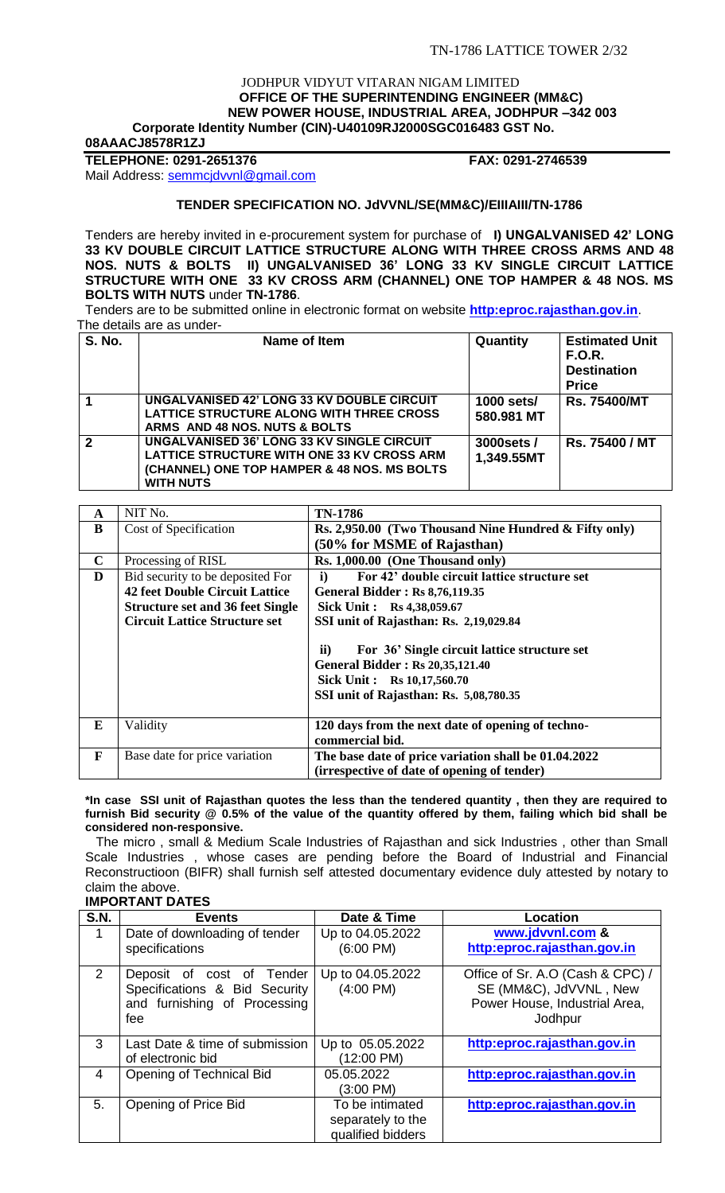#### JODHPUR VIDYUT VITARAN NIGAM LIMITED  **OFFICE OF THE SUPERINTENDING ENGINEER (MM&C) NEW POWER HOUSE, INDUSTRIAL AREA, JODHPUR –342 003 Corporate Identity Number (CIN)-U40109RJ2000SGC016483 GST No.**

**08AAACJ8578R1ZJ**

**TELEPHONE: 0291-2651376 FAX: 0291-2746539**

Mail Address: [semmcjdvvnl@gmail.com](mailto:semmcjdvvnl@gmail.com)

## **TENDER SPECIFICATION NO. JdVVNL/SE(MM&C)/EIIIAIII/TN-1786**

Tenders are hereby invited in e-procurement system for purchase of **I) UNGALVANISED 42' LONG 33 KV DOUBLE CIRCUIT LATTICE STRUCTURE ALONG WITH THREE CROSS ARMS AND 48 NOS. NUTS & BOLTS II) UNGALVANISED 36' LONG 33 KV SINGLE CIRCUIT LATTICE STRUCTURE WITH ONE 33 KV CROSS ARM (CHANNEL) ONE TOP HAMPER & 48 NOS. MS BOLTS WITH NUTS** under **TN-1786**.

Tenders are to be submitted online in electronic format on website **[http:eproc.rajasthan.gov.in](http://www.eproc.rajasthan.gov.in/nicgep/app)**. The details are as under-

| <b>S. No.</b>  | Name of Item                                                                                                                                                | Quantity                  | <b>Estimated Unit</b><br><b>F.O.R.</b><br><b>Destination</b><br><b>Price</b> |
|----------------|-------------------------------------------------------------------------------------------------------------------------------------------------------------|---------------------------|------------------------------------------------------------------------------|
|                | <b>UNGALVANISED 42' LONG 33 KV DOUBLE CIRCUIT</b><br>LATTICE STRUCTURE ALONG WITH THREE CROSS<br>ARMS AND 48 NOS. NUTS & BOLTS                              | 1000 sets/<br>580.981 MT  | <b>Rs. 75400/MT</b>                                                          |
| $\overline{2}$ | UNGALVANISED 36' LONG 33 KV SINGLE CIRCUIT<br>LATTICE STRUCTURE WITH ONE 33 KV CROSS ARM<br>(CHANNEL) ONE TOP HAMPER & 48 NOS. MS BOLTS<br><b>WITH NUTS</b> | 3000 sets /<br>1,349.55MT | Rs. 75400 / MT                                                               |

| A           | NIT No.                                 | TN-1786                                                                                                                                                                         |
|-------------|-----------------------------------------|---------------------------------------------------------------------------------------------------------------------------------------------------------------------------------|
| B           | Cost of Specification                   | Rs. 2,950.00 (Two Thousand Nine Hundred & Fifty only)                                                                                                                           |
|             |                                         | (50% for MSME of Rajasthan)                                                                                                                                                     |
| $\mathbf C$ | Processing of RISL                      | Rs. 1,000.00 (One Thousand only)                                                                                                                                                |
| D           | Bid security to be deposited For        | For 42' double circuit lattice structure set<br>$\mathbf{i}$                                                                                                                    |
|             | <b>42 feet Double Circuit Lattice</b>   | <b>General Bidder: Rs 8,76,119.35</b>                                                                                                                                           |
|             | <b>Structure set and 36 feet Single</b> | Sick Unit: Rs 4,38,059.67                                                                                                                                                       |
|             | <b>Circuit Lattice Structure set</b>    | SSI unit of Rajasthan: Rs. 2,19,029.84                                                                                                                                          |
|             |                                         | $\mathbf{ii}$<br>For 36' Single circuit lattice structure set<br><b>General Bidder: Rs 20,35,121.40</b><br>Sick Unit: Rs 10,17,560.70<br>SSI unit of Rajasthan: Rs. 5,08,780.35 |
| E           | Validity                                | 120 days from the next date of opening of techno-<br>commercial bid.                                                                                                            |
| F           | Base date for price variation           | The base date of price variation shall be 01.04.2022<br>(irrespective of date of opening of tender)                                                                             |

#### **\*In case SSI unit of Rajasthan quotes the less than the tendered quantity , then they are required to furnish Bid security @ 0.5% of the value of the quantity offered by them, failing which bid shall be considered non-responsive.**

 The micro , small & Medium Scale Industries of Rajasthan and sick Industries , other than Small Scale Industries , whose cases are pending before the Board of Industrial and Financial Reconstructioon (BIFR) shall furnish self attested documentary evidence duly attested by notary to claim the above.

## **IMPORTANT DATES**

| <b>S.N.</b> | <b>Events</b>                  | Date & Time         | <b>Location</b>                  |
|-------------|--------------------------------|---------------------|----------------------------------|
| $\mathbf 1$ | Date of downloading of tender  | Up to 04.05.2022    | www.jdvvnl.com &                 |
|             | specifications                 | $(6:00 \text{ PM})$ | http:eproc.rajasthan.gov.in      |
| 2           | Deposit of cost of Tender      | Up to 04.05.2022    | Office of Sr. A.O (Cash & CPC) / |
|             | Specifications & Bid Security  | $(4:00 \text{ PM})$ | SE (MM&C), JdVVNL, New           |
|             | and furnishing of Processing   |                     | Power House, Industrial Area,    |
|             | fee                            |                     | Jodhpur                          |
| 3           | Last Date & time of submission | Up to 05.05.2022    | http:eproc.rajasthan.gov.in      |
|             | of electronic bid              | (12:00 PM)          |                                  |
| 4           | Opening of Technical Bid       | 05.05.2022          | http:eproc.rajasthan.gov.in      |
|             |                                | (3:00 PM)           |                                  |
| 5.          | Opening of Price Bid           | To be intimated     | http:eproc.rajasthan.gov.in      |
|             |                                | separately to the   |                                  |
|             |                                | qualified bidders   |                                  |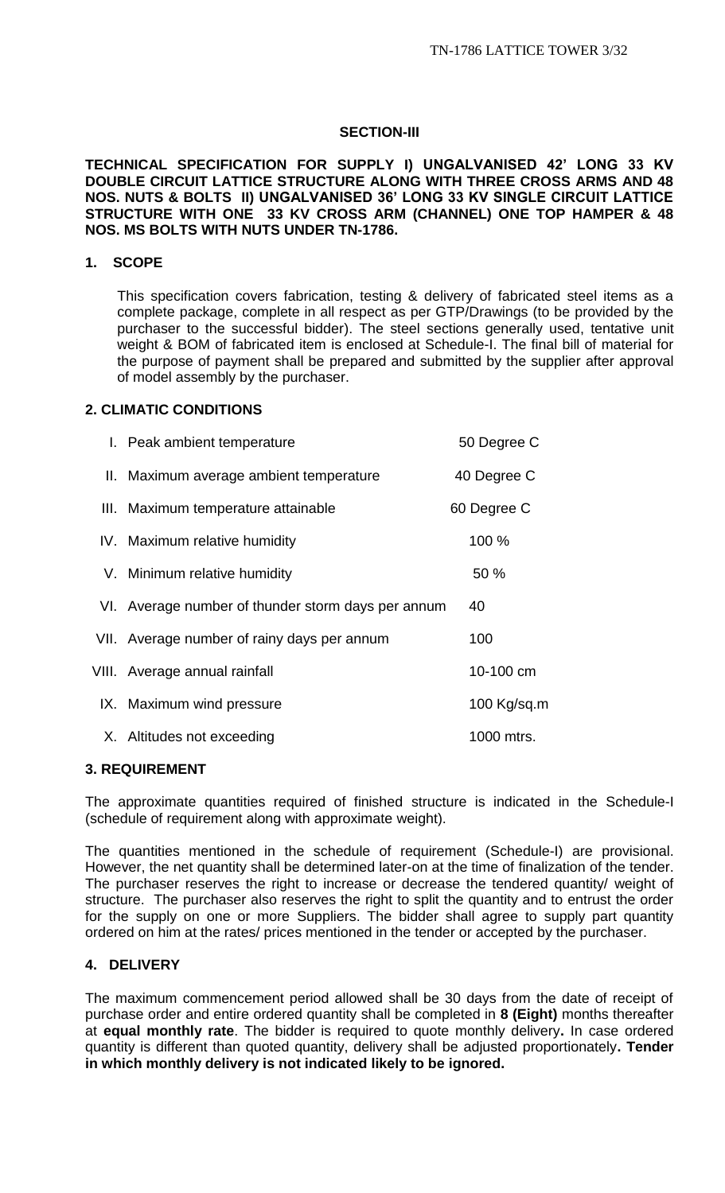# **SECTION-III**

## **TECHNICAL SPECIFICATION FOR SUPPLY I) UNGALVANISED 42' LONG 33 KV DOUBLE CIRCUIT LATTICE STRUCTURE ALONG WITH THREE CROSS ARMS AND 48 NOS. NUTS & BOLTS II) UNGALVANISED 36' LONG 33 KV SINGLE CIRCUIT LATTICE STRUCTURE WITH ONE 33 KV CROSS ARM (CHANNEL) ONE TOP HAMPER & 48 NOS. MS BOLTS WITH NUTS UNDER TN-1786.**

## **1. SCOPE**

This specification covers fabrication, testing & delivery of fabricated steel items as a complete package, complete in all respect as per GTP/Drawings (to be provided by the purchaser to the successful bidder). The steel sections generally used, tentative unit weight & BOM of fabricated item is enclosed at Schedule-I. The final bill of material for the purpose of payment shall be prepared and submitted by the supplier after approval of model assembly by the purchaser.

## **2. CLIMATIC CONDITIONS**

| I. Peak ambient temperature                        | 50 Degree C |
|----------------------------------------------------|-------------|
| II. Maximum average ambient temperature            | 40 Degree C |
| III. Maximum temperature attainable                | 60 Degree C |
| IV. Maximum relative humidity                      | 100 %       |
| V. Minimum relative humidity                       | 50 %        |
| VI. Average number of thunder storm days per annum | 40          |
| VII. Average number of rainy days per annum        | 100         |
| VIII. Average annual rainfall                      | 10-100 cm   |
| IX. Maximum wind pressure                          | 100 Kg/sq.m |
| X. Altitudes not exceeding                         | 1000 mtrs.  |

## **3. REQUIREMENT**

The approximate quantities required of finished structure is indicated in the Schedule-I (schedule of requirement along with approximate weight).

The quantities mentioned in the schedule of requirement (Schedule-I) are provisional. However, the net quantity shall be determined later-on at the time of finalization of the tender. The purchaser reserves the right to increase or decrease the tendered quantity/ weight of structure. The purchaser also reserves the right to split the quantity and to entrust the order for the supply on one or more Suppliers. The bidder shall agree to supply part quantity ordered on him at the rates/ prices mentioned in the tender or accepted by the purchaser.

# **4. DELIVERY**

The maximum commencement period allowed shall be 30 days from the date of receipt of purchase order and entire ordered quantity shall be completed in **8 (Eight)** months thereafter at **equal monthly rate**. The bidder is required to quote monthly delivery**.** In case ordered quantity is different than quoted quantity, delivery shall be adjusted proportionately**. Tender in which monthly delivery is not indicated likely to be ignored.**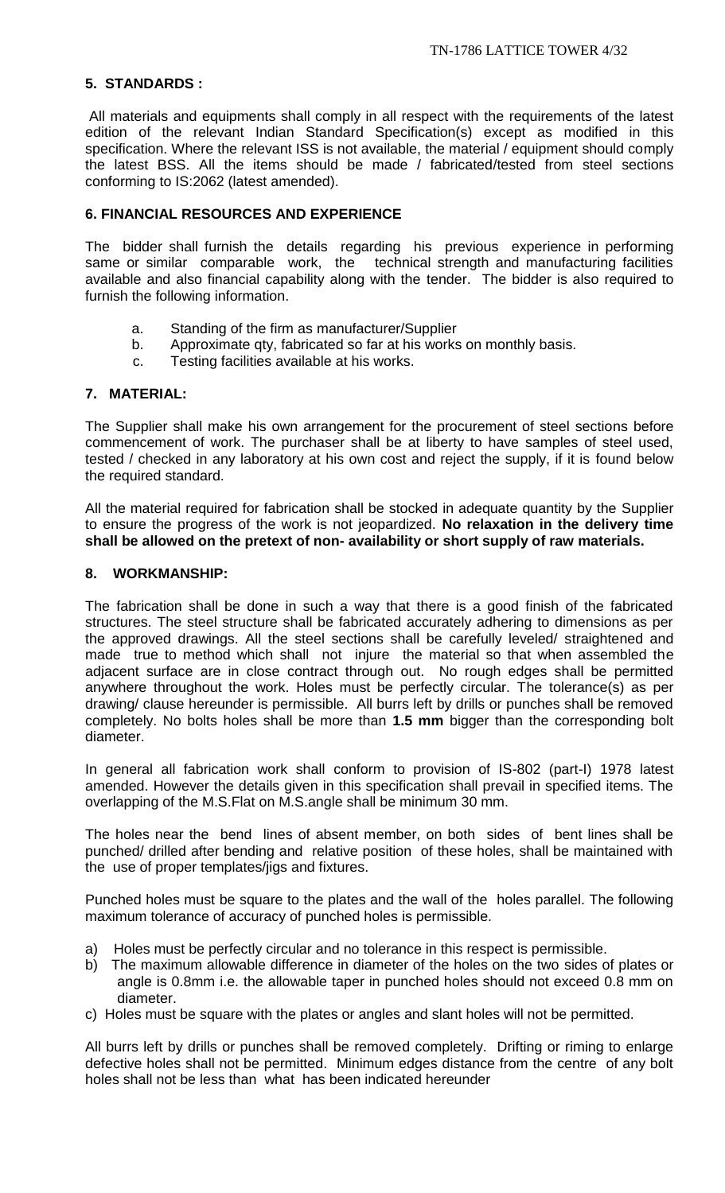# **5. STANDARDS :**

All materials and equipments shall comply in all respect with the requirements of the latest edition of the relevant Indian Standard Specification(s) except as modified in this specification. Where the relevant ISS is not available, the material / equipment should comply the latest BSS. All the items should be made / fabricated/tested from steel sections conforming to IS:2062 (latest amended).

# **6. FINANCIAL RESOURCES AND EXPERIENCE**

The bidder shall furnish the details regarding his previous experience in performing same or similar comparable work, the technical strength and manufacturing facilities available and also financial capability along with the tender. The bidder is also required to furnish the following information.

- a. Standing of the firm as manufacturer/Supplier
- b. Approximate qty, fabricated so far at his works on monthly basis.
- c. Testing facilities available at his works.

## **7. MATERIAL:**

The Supplier shall make his own arrangement for the procurement of steel sections before commencement of work. The purchaser shall be at liberty to have samples of steel used, tested / checked in any laboratory at his own cost and reject the supply, if it is found below the required standard.

All the material required for fabrication shall be stocked in adequate quantity by the Supplier to ensure the progress of the work is not jeopardized. **No relaxation in the delivery time shall be allowed on the pretext of non- availability or short supply of raw materials.**

## **8. WORKMANSHIP:**

The fabrication shall be done in such a way that there is a good finish of the fabricated structures. The steel structure shall be fabricated accurately adhering to dimensions as per the approved drawings. All the steel sections shall be carefully leveled/ straightened and made true to method which shall not injure the material so that when assembled the adjacent surface are in close contract through out. No rough edges shall be permitted anywhere throughout the work. Holes must be perfectly circular. The tolerance(s) as per drawing/ clause hereunder is permissible. All burrs left by drills or punches shall be removed completely. No bolts holes shall be more than **1.5 mm** bigger than the corresponding bolt diameter.

In general all fabrication work shall conform to provision of IS-802 (part-I) 1978 latest amended. However the details given in this specification shall prevail in specified items. The overlapping of the M.S.Flat on M.S.angle shall be minimum 30 mm.

The holes near the bend lines of absent member, on both sides of bent lines shall be punched/ drilled after bending and relative position of these holes, shall be maintained with the use of proper templates/jigs and fixtures.

Punched holes must be square to the plates and the wall of the holes parallel. The following maximum tolerance of accuracy of punched holes is permissible.

- a) Holes must be perfectly circular and no tolerance in this respect is permissible.
- b) The maximum allowable difference in diameter of the holes on the two sides of plates or angle is 0.8mm i.e. the allowable taper in punched holes should not exceed 0.8 mm on diameter.
- c) Holes must be square with the plates or angles and slant holes will not be permitted.

All burrs left by drills or punches shall be removed completely. Drifting or riming to enlarge defective holes shall not be permitted. Minimum edges distance from the centre of any bolt holes shall not be less than what has been indicated hereunder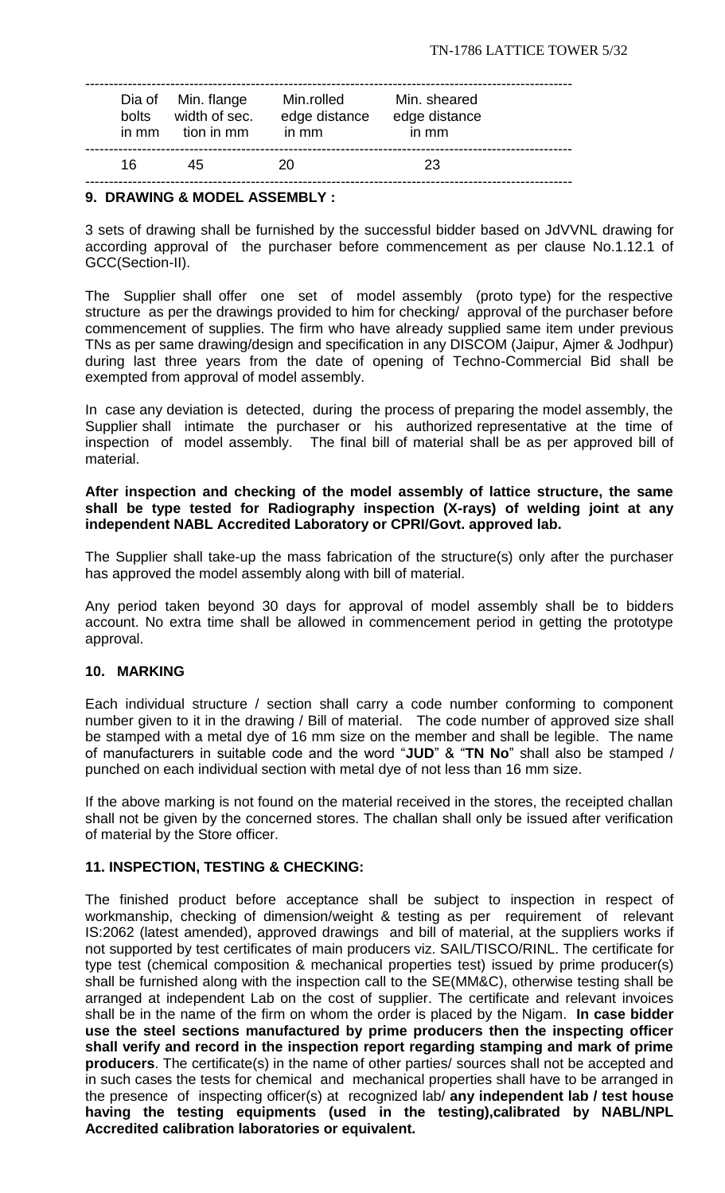| bolts<br>in mm | Dia of Min. flange<br>width of sec.<br>tion in mm | Min.rolled<br>edge distance<br>in mm | Min. sheared<br>edge distance<br>in mm |  |
|----------------|---------------------------------------------------|--------------------------------------|----------------------------------------|--|
| 16             | 45                                                | 20                                   | 23                                     |  |

### **9. DRAWING & MODEL ASSEMBLY :**

3 sets of drawing shall be furnished by the successful bidder based on JdVVNL drawing for according approval of the purchaser before commencement as per clause No.1.12.1 of GCC(Section-II).

The Supplier shall offer one set of model assembly (proto type) for the respective structure as per the drawings provided to him for checking/ approval of the purchaser before commencement of supplies. The firm who have already supplied same item under previous TNs as per same drawing/design and specification in any DISCOM (Jaipur, Ajmer & Jodhpur) during last three years from the date of opening of Techno-Commercial Bid shall be exempted from approval of model assembly.

In case any deviation is detected, during the process of preparing the model assembly, the Supplier shall intimate the purchaser or his authorized representative at the time of inspection of model assembly. The final bill of material shall be as per approved bill of material.

## **After inspection and checking of the model assembly of lattice structure, the same shall be type tested for Radiography inspection (X-rays) of welding joint at any independent NABL Accredited Laboratory or CPRI/Govt. approved lab.**

The Supplier shall take-up the mass fabrication of the structure(s) only after the purchaser has approved the model assembly along with bill of material.

Any period taken beyond 30 days for approval of model assembly shall be to bidders account. No extra time shall be allowed in commencement period in getting the prototype approval.

## **10. MARKING**

Each individual structure / section shall carry a code number conforming to component number given to it in the drawing / Bill of material. The code number of approved size shall be stamped with a metal dye of 16 mm size on the member and shall be legible. The name of manufacturers in suitable code and the word "**JUD**" & "**TN No**" shall also be stamped / punched on each individual section with metal dye of not less than 16 mm size.

If the above marking is not found on the material received in the stores, the receipted challan shall not be given by the concerned stores. The challan shall only be issued after verification of material by the Store officer.

## **11. INSPECTION, TESTING & CHECKING:**

The finished product before acceptance shall be subject to inspection in respect of workmanship, checking of dimension/weight & testing as per requirement of relevant IS:2062 (latest amended), approved drawings and bill of material, at the suppliers works if not supported by test certificates of main producers viz. SAIL/TISCO/RINL. The certificate for type test (chemical composition & mechanical properties test) issued by prime producer(s) shall be furnished along with the inspection call to the SE(MM&C), otherwise testing shall be arranged at independent Lab on the cost of supplier. The certificate and relevant invoices shall be in the name of the firm on whom the order is placed by the Nigam. **In case bidder use the steel sections manufactured by prime producers then the inspecting officer shall verify and record in the inspection report regarding stamping and mark of prime producers**. The certificate(s) in the name of other parties/ sources shall not be accepted and in such cases the tests for chemical and mechanical properties shall have to be arranged in the presence of inspecting officer(s) at recognized lab/ **any independent lab / test house having the testing equipments (used in the testing),calibrated by NABL/NPL Accredited calibration laboratories or equivalent.**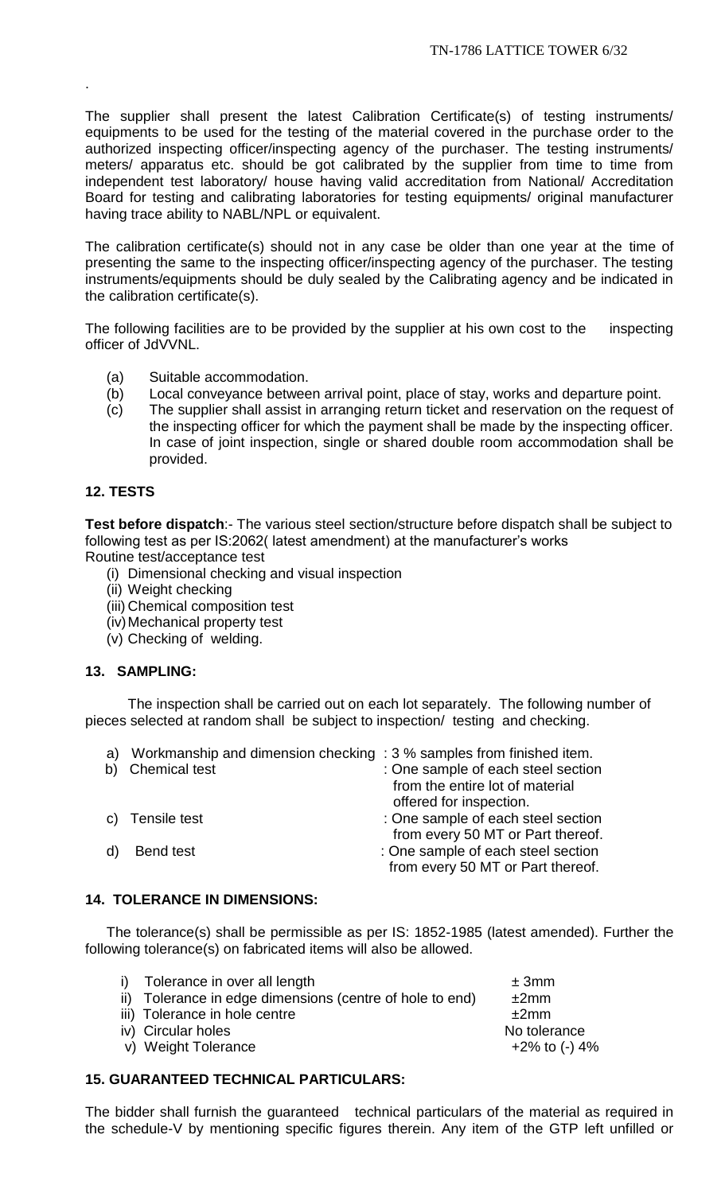The supplier shall present the latest Calibration Certificate(s) of testing instruments/ equipments to be used for the testing of the material covered in the purchase order to the authorized inspecting officer/inspecting agency of the purchaser. The testing instruments/ meters/ apparatus etc. should be got calibrated by the supplier from time to time from independent test laboratory/ house having valid accreditation from National/ Accreditation Board for testing and calibrating laboratories for testing equipments/ original manufacturer having trace ability to NABL/NPL or equivalent.

The calibration certificate(s) should not in any case be older than one year at the time of presenting the same to the inspecting officer/inspecting agency of the purchaser. The testing instruments/equipments should be duly sealed by the Calibrating agency and be indicated in the calibration certificate(s).

The following facilities are to be provided by the supplier at his own cost to the inspecting officer of JdVVNL.

- (a) Suitable accommodation.
- (b) Local conveyance between arrival point, place of stay, works and departure point.
- (c) The supplier shall assist in arranging return ticket and reservation on the request of the inspecting officer for which the payment shall be made by the inspecting officer. In case of joint inspection, single or shared double room accommodation shall be provided.

# **12. TESTS**

.

**Test before dispatch**:- The various steel section/structure before dispatch shall be subject to following test as per IS:2062( latest amendment) at the manufacturer's works Routine test/acceptance test

- (i) Dimensional checking and visual inspection
- (ii) Weight checking
- (iii) Chemical composition test
- (iv)Mechanical property test
- (v) Checking of welding.

## **13. SAMPLING:**

The inspection shall be carried out on each lot separately. The following number of pieces selected at random shall be subject to inspection/ testing and checking.

| a) | Workmanship and dimension checking: 3 % samples from finished item. |                                    |
|----|---------------------------------------------------------------------|------------------------------------|
| b) | <b>Chemical test</b>                                                | : One sample of each steel section |
|    |                                                                     | from the entire lot of material    |
|    |                                                                     | offered for inspection.            |
|    | c) Tensile test                                                     | : One sample of each steel section |
|    |                                                                     | from every 50 MT or Part thereof.  |
|    | Bend test                                                           | : One sample of each steel section |
|    |                                                                     | from every 50 MT or Part thereof.  |
|    |                                                                     |                                    |

## **14. TOLERANCE IN DIMENSIONS:**

The tolerance(s) shall be permissible as per IS: 1852-1985 (latest amended). Further the following tolerance(s) on fabricated items will also be allowed.

| i) Tolerance in over all length                          | ± 3mm            |
|----------------------------------------------------------|------------------|
| ii) Tolerance in edge dimensions (centre of hole to end) | ±2mm             |
| iii) Tolerance in hole centre                            | ±2mm             |
| iv) Circular holes                                       | No tolerance     |
| v) Weight Tolerance                                      | $+2\%$ to (-) 4% |
|                                                          |                  |

# **15. GUARANTEED TECHNICAL PARTICULARS:**

The bidder shall furnish the guaranteed technical particulars of the material as required in the schedule-V by mentioning specific figures therein. Any item of the GTP left unfilled or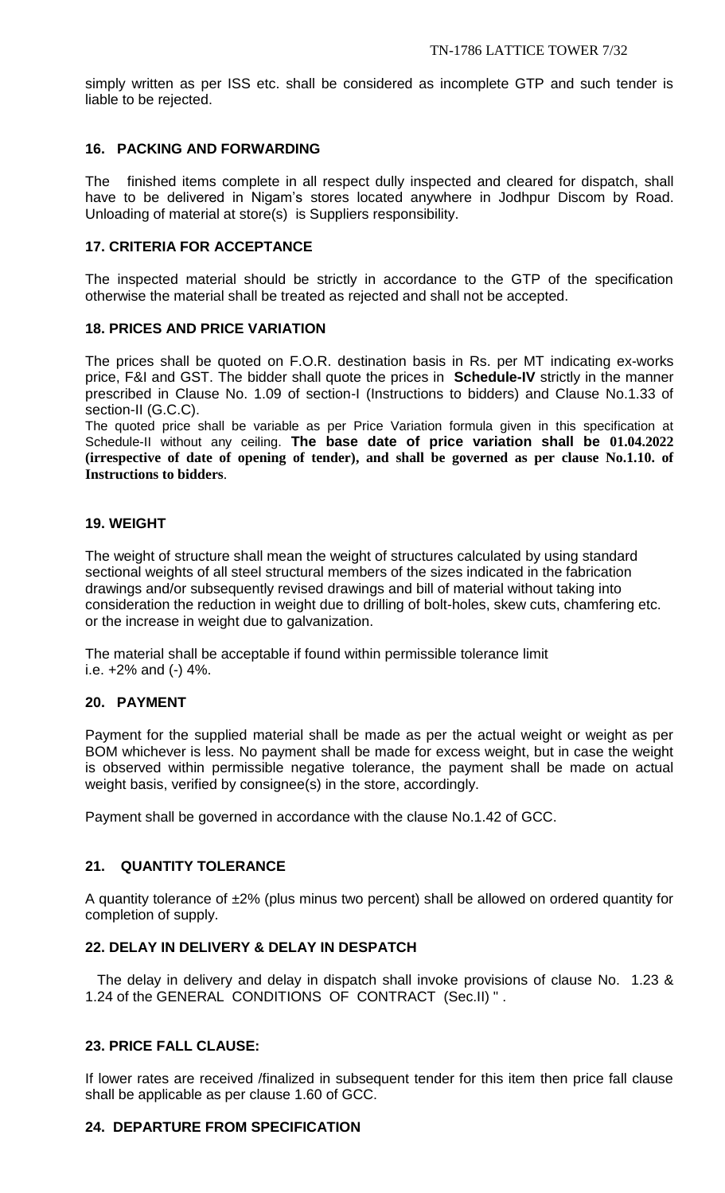simply written as per ISS etc. shall be considered as incomplete GTP and such tender is liable to be rejected.

## **16. PACKING AND FORWARDING**

The finished items complete in all respect dully inspected and cleared for dispatch, shall have to be delivered in Nigam's stores located anywhere in Jodhpur Discom by Road. Unloading of material at store(s) is Suppliers responsibility.

## **17. CRITERIA FOR ACCEPTANCE**

The inspected material should be strictly in accordance to the GTP of the specification otherwise the material shall be treated as rejected and shall not be accepted.

## **18. PRICES AND PRICE VARIATION**

The prices shall be quoted on F.O.R. destination basis in Rs. per MT indicating ex-works price, F&I and GST. The bidder shall quote the prices in **Schedule-IV** strictly in the manner prescribed in Clause No. 1.09 of section-I (Instructions to bidders) and Clause No.1.33 of section-II (G.C.C).

The quoted price shall be variable as per Price Variation formula given in this specification at Schedule-II without any ceiling. **The base date of price variation shall be 01.04.2022 (irrespective of date of opening of tender), and shall be governed as per clause No.1.10. of Instructions to bidders**.

## **19. WEIGHT**

The weight of structure shall mean the weight of structures calculated by using standard sectional weights of all steel structural members of the sizes indicated in the fabrication drawings and/or subsequently revised drawings and bill of material without taking into consideration the reduction in weight due to drilling of bolt-holes, skew cuts, chamfering etc. or the increase in weight due to galvanization.

The material shall be acceptable if found within permissible tolerance limit i.e. +2% and (-) 4%.

## **20. PAYMENT**

Payment for the supplied material shall be made as per the actual weight or weight as per BOM whichever is less. No payment shall be made for excess weight, but in case the weight is observed within permissible negative tolerance, the payment shall be made on actual weight basis, verified by consignee(s) in the store, accordingly.

Payment shall be governed in accordance with the clause No.1.42 of GCC.

# **21. QUANTITY TOLERANCE**

A quantity tolerance of ±2% (plus minus two percent) shall be allowed on ordered quantity for completion of supply.

# **22. DELAY IN DELIVERY & DELAY IN DESPATCH**

 The delay in delivery and delay in dispatch shall invoke provisions of clause No. 1.23 & 1.24 of the GENERAL CONDITIONS OF CONTRACT (Sec.II) " .

# **23. PRICE FALL CLAUSE:**

If lower rates are received /finalized in subsequent tender for this item then price fall clause shall be applicable as per clause 1.60 of GCC.

## **24. DEPARTURE FROM SPECIFICATION**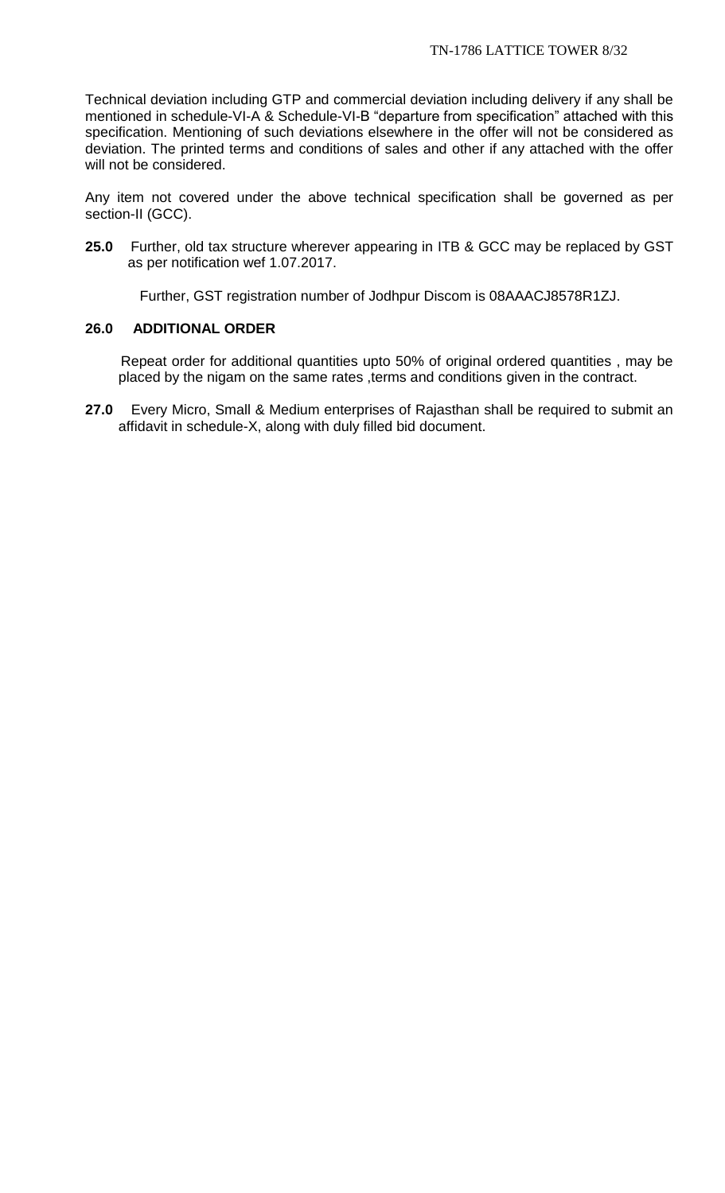Technical deviation including GTP and commercial deviation including delivery if any shall be mentioned in schedule-VI-A & Schedule-VI-B "departure from specification" attached with this specification. Mentioning of such deviations elsewhere in the offer will not be considered as deviation. The printed terms and conditions of sales and other if any attached with the offer will not be considered.

Any item not covered under the above technical specification shall be governed as per section-II (GCC).

**25.0** Further, old tax structure wherever appearing in ITB & GCC may be replaced by GST as per notification wef 1.07.2017.

Further, GST registration number of Jodhpur Discom is 08AAACJ8578R1ZJ.

## **26.0 ADDITIONAL ORDER**

 Repeat order for additional quantities upto 50% of original ordered quantities , may be placed by the nigam on the same rates , terms and conditions given in the contract.

**27.0** Every Micro, Small & Medium enterprises of Rajasthan shall be required to submit an affidavit in schedule-X, along with duly filled bid document.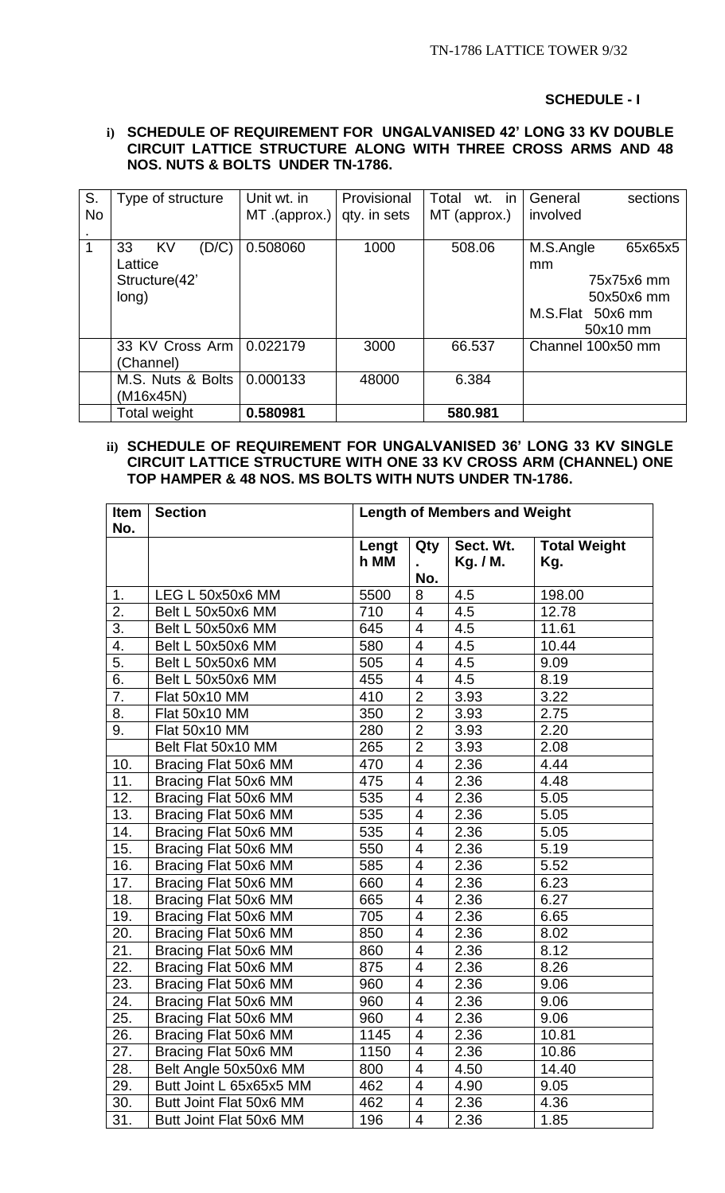#### **SCHEDULE - I**

#### **i) SCHEDULE OF REQUIREMENT FOR UNGALVANISED 42' LONG 33 KV DOUBLE CIRCUIT LATTICE STRUCTURE ALONG WITH THREE CROSS ARMS AND 48 NOS. NUTS & BOLTS UNDER TN-1786.**

| S.        | Type of structure   | Unit wt. in      | Provisional  | Total<br>wt. in | General<br>sections  |
|-----------|---------------------|------------------|--------------|-----------------|----------------------|
| <b>No</b> |                     | $MT$ . (approx.) | qty. in sets | MT (approx.)    | involved             |
|           |                     |                  |              |                 |                      |
|           | KV<br>(D/C)<br>33   | 0.508060         | 1000         | 508.06          | M.S.Angle<br>65x65x5 |
|           | Lattice             |                  |              |                 | mm                   |
|           | Structure(42'       |                  |              |                 | 75x75x6 mm           |
|           | long)               |                  |              |                 | 50x50x6 mm           |
|           |                     |                  |              |                 | M.S.Flat 50x6 mm     |
|           |                     |                  |              |                 | 50x10 mm             |
|           | 33 KV Cross Arm     | 0.022179         | 3000         | 66.537          | Channel 100x50 mm    |
|           | (Channel)           |                  |              |                 |                      |
|           | M.S. Nuts & Bolts   | 0.000133         | 48000        | 6.384           |                      |
|           | (M16x45N)           |                  |              |                 |                      |
|           | <b>Total weight</b> | 0.580981         |              | 580.981         |                      |

## **ii) SCHEDULE OF REQUIREMENT FOR UNGALVANISED 36' LONG 33 KV SINGLE CIRCUIT LATTICE STRUCTURE WITH ONE 33 KV CROSS ARM (CHANNEL) ONE TOP HAMPER & 48 NOS. MS BOLTS WITH NUTS UNDER TN-1786.**

| Item | <b>Section</b>          | <b>Length of Members and Weight</b> |                          |           |                     |
|------|-------------------------|-------------------------------------|--------------------------|-----------|---------------------|
| No.  |                         |                                     |                          |           |                     |
|      |                         | Lengt<br>h MM                       | Qty                      | Sect. Wt. | <b>Total Weight</b> |
|      |                         |                                     | No.                      | Kg. / M.  | Kg.                 |
| 1.   | LEG L 50x50x6 MM        | 5500                                | 8                        | 4.5       | 198.00              |
| 2.   | Belt L 50x50x6 MM       | 710                                 | $\overline{4}$           | 4.5       | 12.78               |
| 3.   | Belt L 50x50x6 MM       | 645                                 | $\overline{4}$           | 4.5       | 11.61               |
| 4.   | Belt L 50x50x6 MM       | 580                                 | $\overline{4}$           | 4.5       | 10.44               |
| 5.   | Belt L 50x50x6 MM       | 505                                 | $\overline{\mathcal{A}}$ | 4.5       | 9.09                |
| 6.   | Belt L 50x50x6 MM       | 455                                 | $\overline{4}$           | 4.5       | 8.19                |
| 7.   | Flat 50x10 MM           | 410                                 | $\overline{2}$           | 3.93      | 3.22                |
| 8.   | Flat 50x10 MM           | 350                                 | $\overline{2}$           | 3.93      | 2.75                |
| 9.   | Flat 50x10 MM           | 280                                 | $\overline{2}$           | 3.93      | 2.20                |
|      | Belt Flat 50x10 MM      | 265                                 | $\overline{2}$           | 3.93      | 2.08                |
| 10.  | Bracing Flat 50x6 MM    | 470                                 | $\overline{4}$           | 2.36      | 4.44                |
| 11.  | Bracing Flat 50x6 MM    | 475                                 | $\overline{4}$           | 2.36      | 4.48                |
| 12.  | Bracing Flat 50x6 MM    | 535                                 | $\overline{4}$           | 2.36      | 5.05                |
| 13.  | Bracing Flat 50x6 MM    | 535                                 | $\overline{4}$           | 2.36      | 5.05                |
| 14.  | Bracing Flat 50x6 MM    | 535                                 | $\overline{4}$           | 2.36      | 5.05                |
| 15.  | Bracing Flat 50x6 MM    | 550                                 | $\overline{4}$           | 2.36      | 5.19                |
| 16.  | Bracing Flat 50x6 MM    | 585                                 | $\overline{4}$           | 2.36      | 5.52                |
| 17.  | Bracing Flat 50x6 MM    | 660                                 | $\overline{\mathcal{A}}$ | 2.36      | 6.23                |
| 18.  | Bracing Flat 50x6 MM    | 665                                 | $\overline{4}$           | 2.36      | 6.27                |
| 19.  | Bracing Flat 50x6 MM    | 705                                 | $\overline{4}$           | 2.36      | 6.65                |
| 20.  | Bracing Flat 50x6 MM    | 850                                 | $\overline{4}$           | 2.36      | 8.02                |
| 21.  | Bracing Flat 50x6 MM    | 860                                 | $\overline{4}$           | 2.36      | 8.12                |
| 22.  | Bracing Flat 50x6 MM    | 875                                 | 4                        | 2.36      | 8.26                |
| 23.  | Bracing Flat 50x6 MM    | 960                                 | $\overline{4}$           | 2.36      | 9.06                |
| 24.  | Bracing Flat 50x6 MM    | 960                                 | $\overline{4}$           | 2.36      | 9.06                |
| 25.  | Bracing Flat 50x6 MM    | 960                                 | $\overline{4}$           | 2.36      | 9.06                |
| 26.  | Bracing Flat 50x6 MM    | 1145                                | $\overline{4}$           | 2.36      | 10.81               |
| 27.  | Bracing Flat 50x6 MM    | 1150                                | $\overline{4}$           | 2.36      | 10.86               |
| 28.  | Belt Angle 50x50x6 MM   | 800                                 | $\overline{4}$           | 4.50      | 14.40               |
| 29.  | Butt Joint L 65x65x5 MM | 462                                 | 4                        | 4.90      | 9.05                |
| 30.  | Butt Joint Flat 50x6 MM | 462                                 | 4                        | 2.36      | 4.36                |
| 31.  | Butt Joint Flat 50x6 MM | 196                                 | 4                        | 2.36      | 1.85                |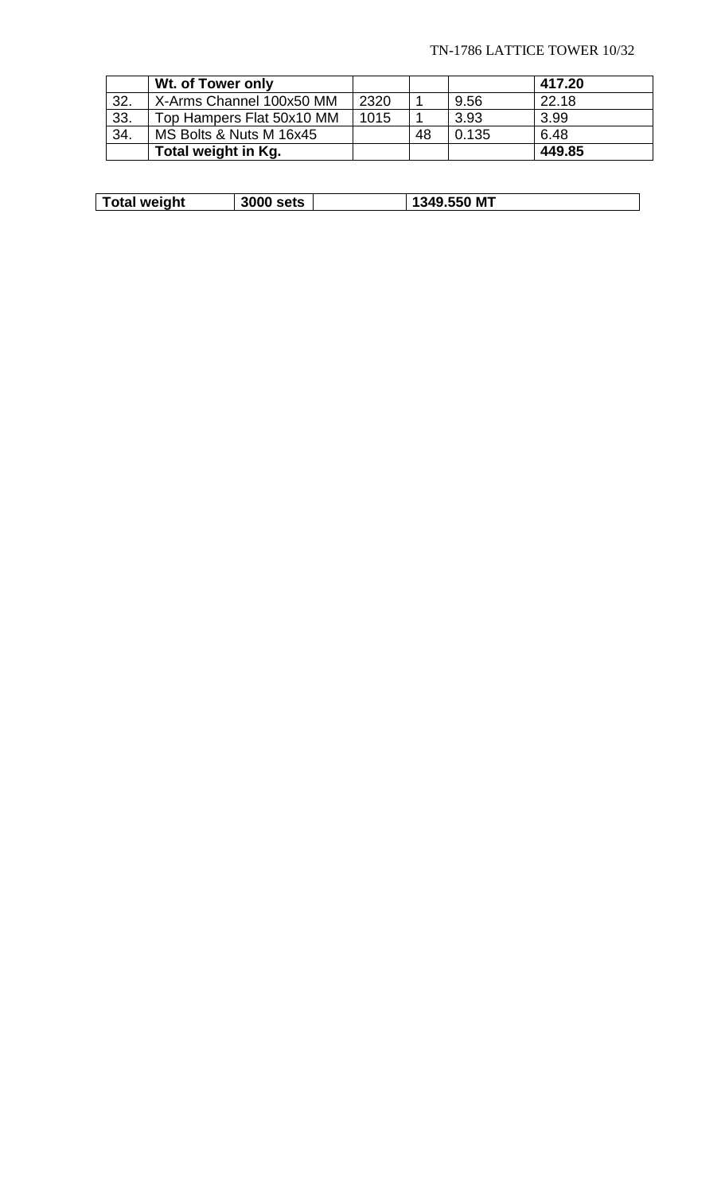## TN-1786 LATTICE TOWER 10/32

|     | Wt. of Tower only         |      |    |       | 417.20 |
|-----|---------------------------|------|----|-------|--------|
| 32. | X-Arms Channel 100x50 MM  | 2320 |    | 9.56  | 22.18  |
| 33. | Top Hampers Flat 50x10 MM | 1015 |    | 3.93  | 3.99   |
| 34. | MS Bolts & Nuts M 16x45   |      | 48 | 0.135 | 6.48   |
|     | Total weight in Kg.       |      |    |       | 449.85 |

|  | Total weight | <b>3000 sets</b> |  | 1349.550 MT |
|--|--------------|------------------|--|-------------|
|--|--------------|------------------|--|-------------|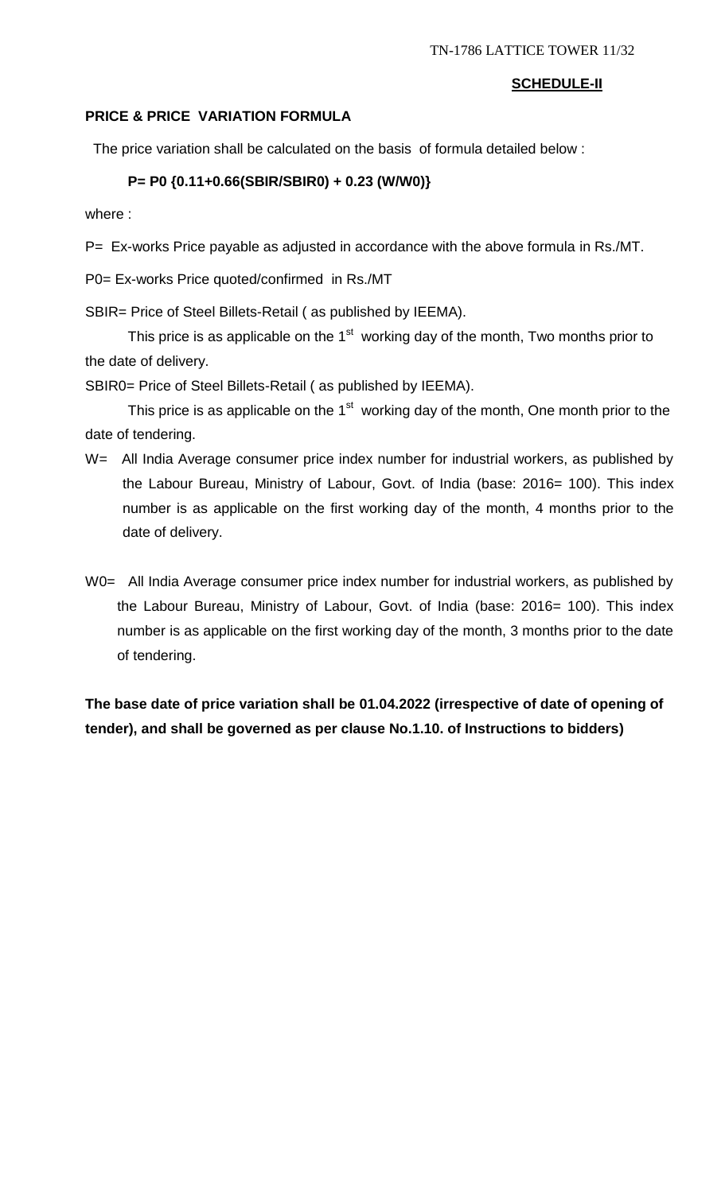## **SCHEDULE-II**

## **PRICE & PRICE VARIATION FORMULA**

The price variation shall be calculated on the basis of formula detailed below :

## **P= P0 {0.11+0.66(SBIR/SBIR0) + 0.23 (W/W0)}**

where :

P= Ex-works Price payable as adjusted in accordance with the above formula in Rs./MT.

P0= Ex-works Price quoted/confirmed in Rs./MT

SBIR= Price of Steel Billets-Retail ( as published by IEEMA).

This price is as applicable on the 1<sup>st</sup> working day of the month, Two months prior to the date of delivery.

SBIR0= Price of Steel Billets-Retail ( as published by IEEMA).

This price is as applicable on the  $1<sup>st</sup>$  working day of the month, One month prior to the date of tendering.

- W= All India Average consumer price index number for industrial workers, as published by the Labour Bureau, Ministry of Labour, Govt. of India (base: 2016= 100). This index number is as applicable on the first working day of the month, 4 months prior to the date of delivery.
- W0= All India Average consumer price index number for industrial workers, as published by the Labour Bureau, Ministry of Labour, Govt. of India (base: 2016= 100). This index number is as applicable on the first working day of the month, 3 months prior to the date of tendering.

**The base date of price variation shall be 01.04.2022 (irrespective of date of opening of tender), and shall be governed as per clause No.1.10. of Instructions to bidders)**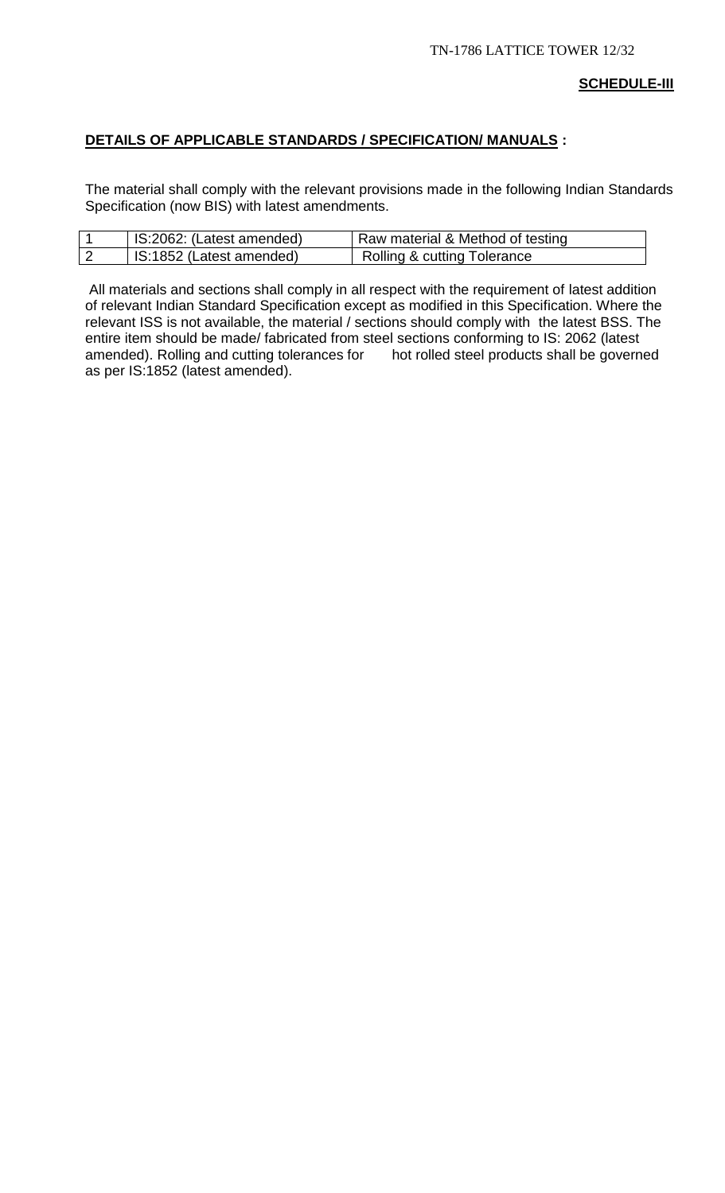# **DETAILS OF APPLICABLE STANDARDS / SPECIFICATION/ MANUALS :**

The material shall comply with the relevant provisions made in the following Indian Standards Specification (now BIS) with latest amendments.

| IS:2062: (Latest amended) | Raw material & Method of testing |
|---------------------------|----------------------------------|
| IS:1852 (Latest amended)  | Rolling & cutting Tolerance      |

All materials and sections shall comply in all respect with the requirement of latest addition of relevant Indian Standard Specification except as modified in this Specification. Where the relevant ISS is not available, the material / sections should comply with the latest BSS. The entire item should be made/ fabricated from steel sections conforming to IS: 2062 (latest amended). Rolling and cutting tolerances for hot rolled steel products shall be governed as per IS:1852 (latest amended).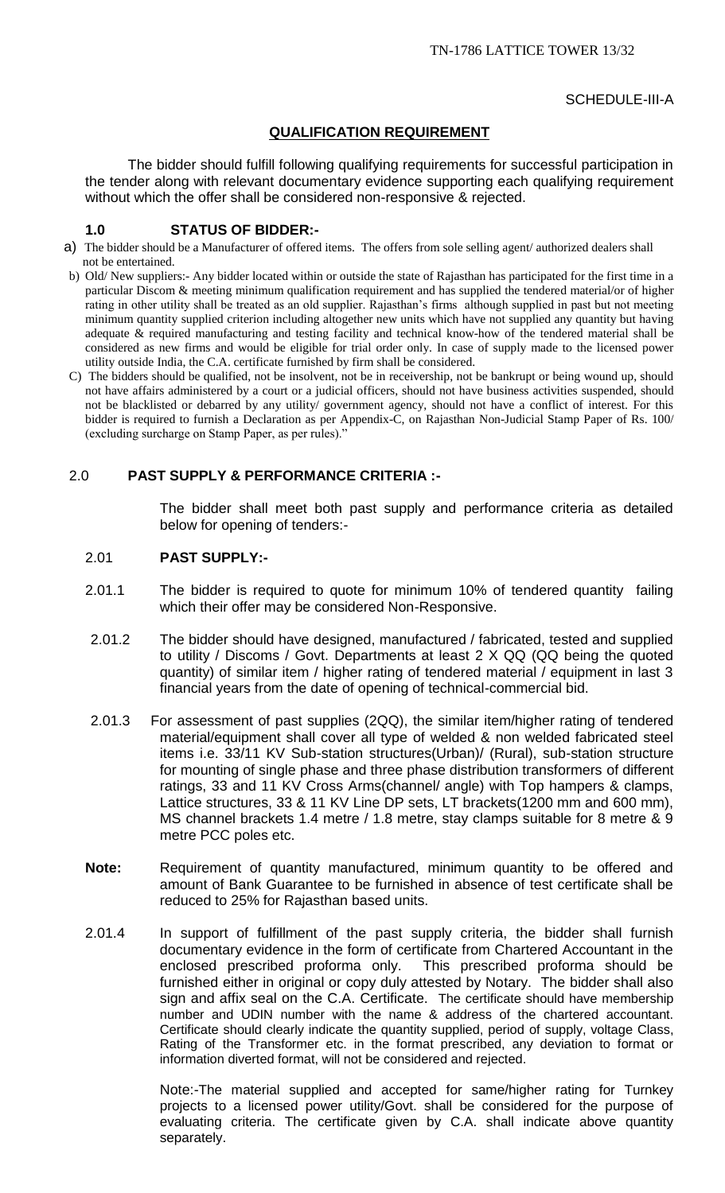### SCHEDULE-III-A

## **QUALIFICATION REQUIREMENT**

The bidder should fulfill following qualifying requirements for successful participation in the tender along with relevant documentary evidence supporting each qualifying requirement without which the offer shall be considered non-responsive & rejected.

#### **1.0 STATUS OF BIDDER:-**

- a) The bidder should be a Manufacturer of offered items. The offers from sole selling agent/ authorized dealers shall not be entertained.
- b) Old/ New suppliers:- Any bidder located within or outside the state of Rajasthan has participated for the first time in a particular Discom & meeting minimum qualification requirement and has supplied the tendered material/or of higher rating in other utility shall be treated as an old supplier. Rajasthan's firms although supplied in past but not meeting minimum quantity supplied criterion including altogether new units which have not supplied any quantity but having adequate & required manufacturing and testing facility and technical know-how of the tendered material shall be considered as new firms and would be eligible for trial order only. In case of supply made to the licensed power utility outside India, the C.A. certificate furnished by firm shall be considered.
- C) The bidders should be qualified, not be insolvent, not be in receivership, not be bankrupt or being wound up, should not have affairs administered by a court or a judicial officers, should not have business activities suspended, should not be blacklisted or debarred by any utility/ government agency, should not have a conflict of interest. For this bidder is required to furnish a Declaration as per Appendix-C, on Rajasthan Non-Judicial Stamp Paper of Rs. 100/ (excluding surcharge on Stamp Paper, as per rules)."

## 2.0 **PAST SUPPLY & PERFORMANCE CRITERIA :-**

The bidder shall meet both past supply and performance criteria as detailed below for opening of tenders:-

## 2.01 **PAST SUPPLY:-**

- 2.01.1 The bidder is required to quote for minimum 10% of tendered quantity failing which their offer may be considered Non-Responsive.
- 2.01.2 The bidder should have designed, manufactured / fabricated, tested and supplied to utility / Discoms / Govt. Departments at least 2 X QQ (QQ being the quoted quantity) of similar item / higher rating of tendered material / equipment in last 3 financial years from the date of opening of technical-commercial bid.
- 2.01.3 For assessment of past supplies (2QQ), the similar item/higher rating of tendered material/equipment shall cover all type of welded & non welded fabricated steel items i.e. 33/11 KV Sub-station structures(Urban)/ (Rural), sub-station structure for mounting of single phase and three phase distribution transformers of different ratings, 33 and 11 KV Cross Arms(channel/ angle) with Top hampers & clamps, Lattice structures, 33 & 11 KV Line DP sets, LT brackets(1200 mm and 600 mm), MS channel brackets 1.4 metre / 1.8 metre, stay clamps suitable for 8 metre & 9 metre PCC poles etc.
- **Note:** Requirement of quantity manufactured, minimum quantity to be offered and amount of Bank Guarantee to be furnished in absence of test certificate shall be reduced to 25% for Rajasthan based units.
- 2.01.4 In support of fulfillment of the past supply criteria, the bidder shall furnish documentary evidence in the form of certificate from Chartered Accountant in the enclosed prescribed proforma only. This prescribed proforma should be furnished either in original or copy duly attested by Notary. The bidder shall also sign and affix seal on the C.A. Certificate. The certificate should have membership number and UDIN number with the name & address of the chartered accountant. Certificate should clearly indicate the quantity supplied, period of supply, voltage Class, Rating of the Transformer etc. in the format prescribed, any deviation to format or information diverted format, will not be considered and rejected.

Note:-The material supplied and accepted for same/higher rating for Turnkey projects to a licensed power utility/Govt. shall be considered for the purpose of evaluating criteria. The certificate given by C.A. shall indicate above quantity separately.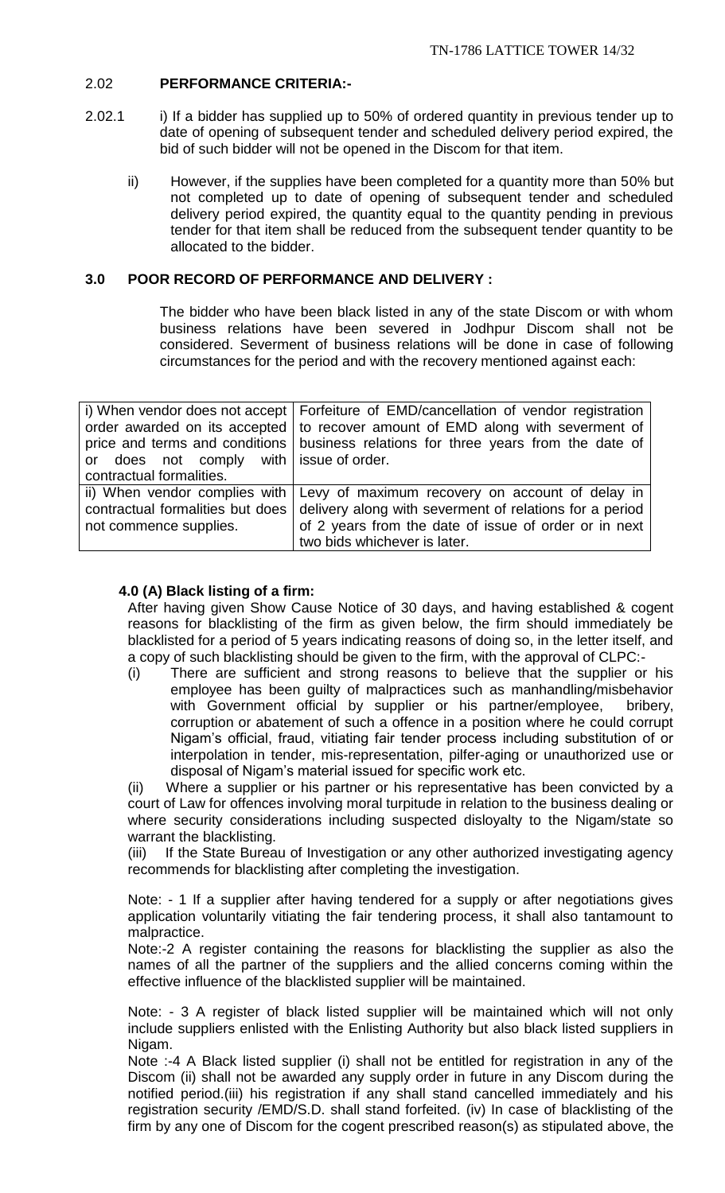## 2.02 **PERFORMANCE CRITERIA:-**

- 2.02.1 i) If a bidder has supplied up to 50% of ordered quantity in previous tender up to date of opening of subsequent tender and scheduled delivery period expired, the bid of such bidder will not be opened in the Discom for that item.
	- ii) However, if the supplies have been completed for a quantity more than 50% but not completed up to date of opening of subsequent tender and scheduled delivery period expired, the quantity equal to the quantity pending in previous tender for that item shall be reduced from the subsequent tender quantity to be allocated to the bidder.

## **3.0 POOR RECORD OF PERFORMANCE AND DELIVERY :**

The bidder who have been black listed in any of the state Discom or with whom business relations have been severed in Jodhpur Discom shall not be considered. Severment of business relations will be done in case of following circumstances for the period and with the recovery mentioned against each:

|                                         | i) When vendor does not accept   Forfeiture of EMD/cancellation of vendor registration |
|-----------------------------------------|----------------------------------------------------------------------------------------|
|                                         | order awarded on its accepted   to recover amount of EMD along with severment of       |
|                                         | price and terms and conditions   business relations for three years from the date of   |
| or does not comply with issue of order. |                                                                                        |
| contractual formalities.                |                                                                                        |
|                                         | ii) When vendor complies with Levy of maximum recovery on account of delay in          |
| contractual formalities but does        | delivery along with severment of relations for a period                                |
| not commence supplies.                  | of 2 years from the date of issue of order or in next                                  |
|                                         | two bids whichever is later.                                                           |

## **4.0 (A) Black listing of a firm:**

After having given Show Cause Notice of 30 days, and having established & cogent reasons for blacklisting of the firm as given below, the firm should immediately be blacklisted for a period of 5 years indicating reasons of doing so, in the letter itself, and a copy of such blacklisting should be given to the firm, with the approval of CLPC:-

(i) There are sufficient and strong reasons to believe that the supplier or his employee has been guilty of malpractices such as manhandling/misbehavior with Government official by supplier or his partner/employee, bribery, corruption or abatement of such a offence in a position where he could corrupt Nigam's official, fraud, vitiating fair tender process including substitution of or interpolation in tender, mis-representation, pilfer-aging or unauthorized use or disposal of Nigam's material issued for specific work etc.

(ii) Where a supplier or his partner or his representative has been convicted by a court of Law for offences involving moral turpitude in relation to the business dealing or where security considerations including suspected disloyalty to the Nigam/state so warrant the blacklisting.

(iii) If the State Bureau of Investigation or any other authorized investigating agency recommends for blacklisting after completing the investigation.

Note: - 1 If a supplier after having tendered for a supply or after negotiations gives application voluntarily vitiating the fair tendering process, it shall also tantamount to malpractice.

Note:-2 A register containing the reasons for blacklisting the supplier as also the names of all the partner of the suppliers and the allied concerns coming within the effective influence of the blacklisted supplier will be maintained.

Note: - 3 A register of black listed supplier will be maintained which will not only include suppliers enlisted with the Enlisting Authority but also black listed suppliers in Nigam.

Note :-4 A Black listed supplier (i) shall not be entitled for registration in any of the Discom (ii) shall not be awarded any supply order in future in any Discom during the notified period.(iii) his registration if any shall stand cancelled immediately and his registration security /EMD/S.D. shall stand forfeited. (iv) In case of blacklisting of the firm by any one of Discom for the cogent prescribed reason(s) as stipulated above, the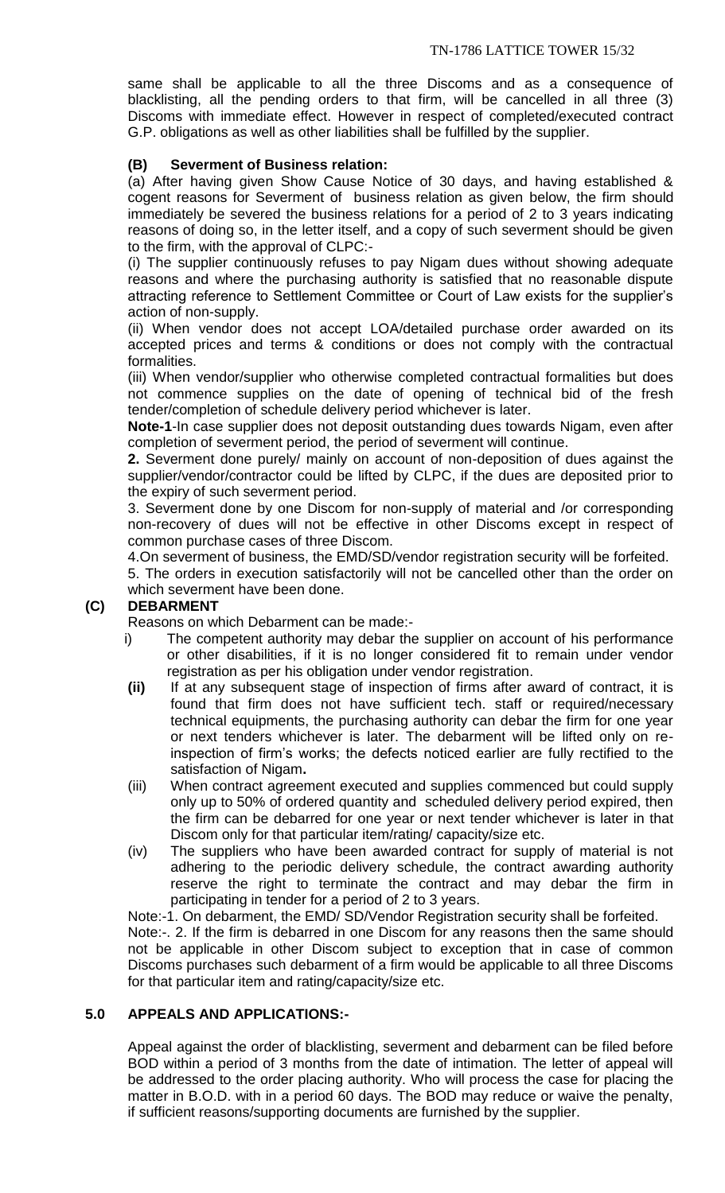same shall be applicable to all the three Discoms and as a consequence of blacklisting, all the pending orders to that firm, will be cancelled in all three (3) Discoms with immediate effect. However in respect of completed/executed contract G.P. obligations as well as other liabilities shall be fulfilled by the supplier.

# **(B) Severment of Business relation:**

(a) After having given Show Cause Notice of 30 days, and having established & cogent reasons for Severment of business relation as given below, the firm should immediately be severed the business relations for a period of 2 to 3 years indicating reasons of doing so, in the letter itself, and a copy of such severment should be given to the firm, with the approval of CLPC:-

(i) The supplier continuously refuses to pay Nigam dues without showing adequate reasons and where the purchasing authority is satisfied that no reasonable dispute attracting reference to Settlement Committee or Court of Law exists for the supplier's action of non-supply.

(ii) When vendor does not accept LOA/detailed purchase order awarded on its accepted prices and terms & conditions or does not comply with the contractual formalities.

(iii) When vendor/supplier who otherwise completed contractual formalities but does not commence supplies on the date of opening of technical bid of the fresh tender/completion of schedule delivery period whichever is later.

**Note-1**-In case supplier does not deposit outstanding dues towards Nigam, even after completion of severment period, the period of severment will continue.

**2.** Severment done purely/ mainly on account of non-deposition of dues against the supplier/vendor/contractor could be lifted by CLPC, if the dues are deposited prior to the expiry of such severment period.

3. Severment done by one Discom for non-supply of material and /or corresponding non-recovery of dues will not be effective in other Discoms except in respect of common purchase cases of three Discom.

4.On severment of business, the EMD/SD/vendor registration security will be forfeited.

5. The orders in execution satisfactorily will not be cancelled other than the order on which severment have been done.

# **(C) DEBARMENT**

Reasons on which Debarment can be made:-

- i) The competent authority may debar the supplier on account of his performance or other disabilities, if it is no longer considered fit to remain under vendor registration as per his obligation under vendor registration.
- **(ii)** If at any subsequent stage of inspection of firms after award of contract, it is found that firm does not have sufficient tech. staff or required/necessary technical equipments, the purchasing authority can debar the firm for one year or next tenders whichever is later. The debarment will be lifted only on reinspection of firm's works; the defects noticed earlier are fully rectified to the satisfaction of Nigam**.**
- (iii) When contract agreement executed and supplies commenced but could supply only up to 50% of ordered quantity and scheduled delivery period expired, then the firm can be debarred for one year or next tender whichever is later in that Discom only for that particular item/rating/ capacity/size etc.
- (iv) The suppliers who have been awarded contract for supply of material is not adhering to the periodic delivery schedule, the contract awarding authority reserve the right to terminate the contract and may debar the firm in participating in tender for a period of 2 to 3 years.

Note:-1. On debarment, the EMD/ SD/Vendor Registration security shall be forfeited. Note:-. 2. If the firm is debarred in one Discom for any reasons then the same should not be applicable in other Discom subject to exception that in case of common Discoms purchases such debarment of a firm would be applicable to all three Discoms for that particular item and rating/capacity/size etc.

# **5.0 APPEALS AND APPLICATIONS:-**

Appeal against the order of blacklisting, severment and debarment can be filed before BOD within a period of 3 months from the date of intimation. The letter of appeal will be addressed to the order placing authority. Who will process the case for placing the matter in B.O.D. with in a period 60 days. The BOD may reduce or waive the penalty, if sufficient reasons/supporting documents are furnished by the supplier.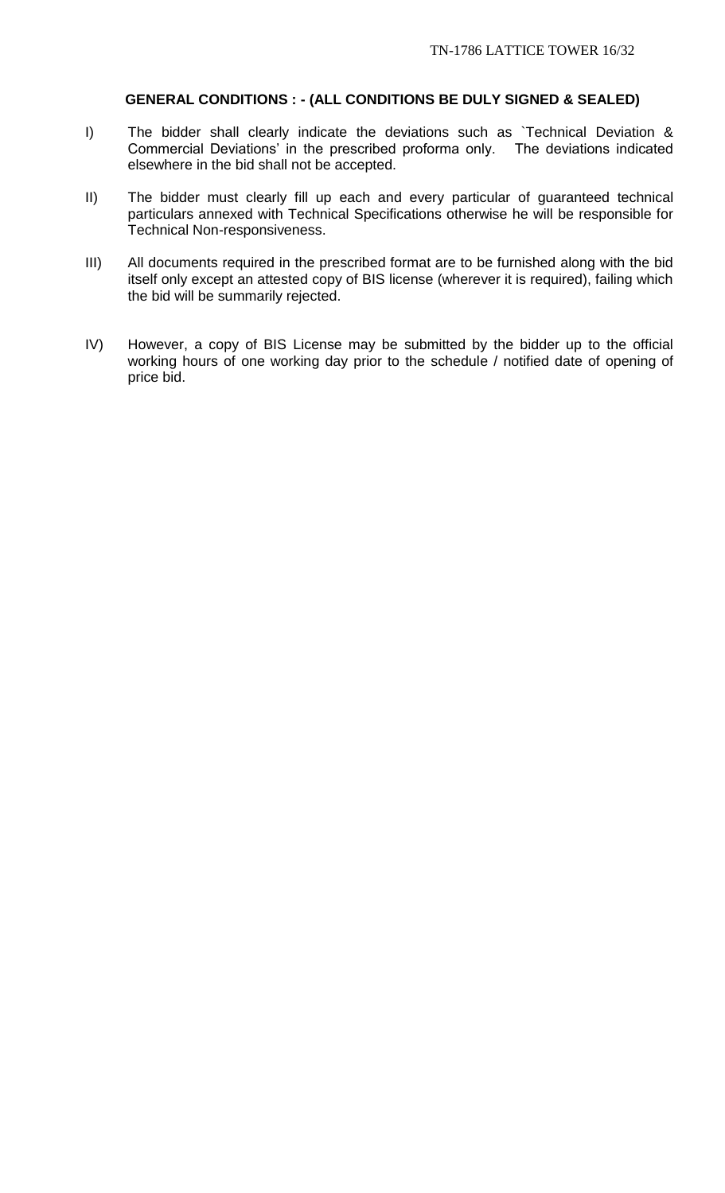## **GENERAL CONDITIONS : - (ALL CONDITIONS BE DULY SIGNED & SEALED)**

- I) The bidder shall clearly indicate the deviations such as `Technical Deviation & Commercial Deviations' in the prescribed proforma only. The deviations indicated elsewhere in the bid shall not be accepted.
- II) The bidder must clearly fill up each and every particular of guaranteed technical particulars annexed with Technical Specifications otherwise he will be responsible for Technical Non-responsiveness.
- III) All documents required in the prescribed format are to be furnished along with the bid itself only except an attested copy of BIS license (wherever it is required), failing which the bid will be summarily rejected.
- IV) However, a copy of BIS License may be submitted by the bidder up to the official working hours of one working day prior to the schedule / notified date of opening of price bid.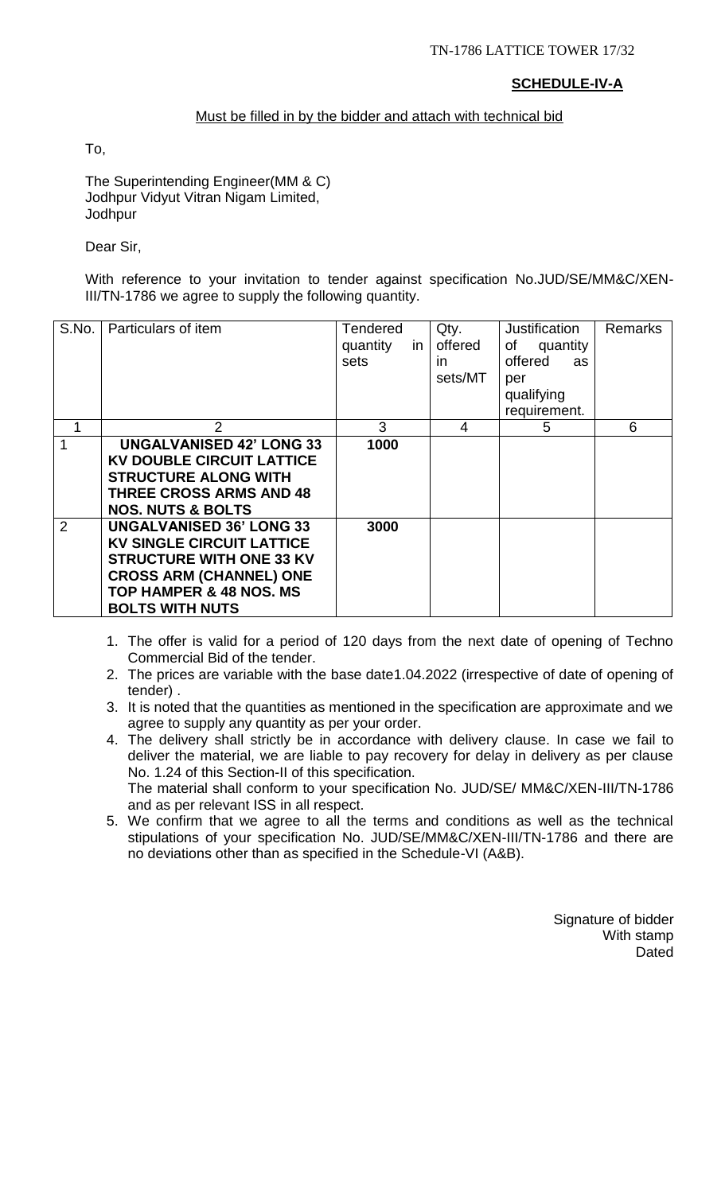# **SCHEDULE-IV-A**

# Must be filled in by the bidder and attach with technical bid

To,

The Superintending Engineer(MM & C) Jodhpur Vidyut Vitran Nigam Limited, Jodhpur

Dear Sir,

With reference to your invitation to tender against specification No.JUD/SE/MM&C/XEN-III/TN-1786 we agree to supply the following quantity.

| S.No. | Particulars of item                                                                                                                                                                                      | <b>Tendered</b><br>quantity<br>in<br>sets | Qty.<br>offered<br>in.<br>sets/MT | Justification<br>quantity<br>of<br>offered<br>as<br>per<br>qualifying<br>requirement. | <b>Remarks</b> |
|-------|----------------------------------------------------------------------------------------------------------------------------------------------------------------------------------------------------------|-------------------------------------------|-----------------------------------|---------------------------------------------------------------------------------------|----------------|
|       | $\overline{2}$                                                                                                                                                                                           | 3                                         | 4                                 | 5                                                                                     | 6              |
|       | <b>UNGALVANISED 42' LONG 33</b><br><b>KV DOUBLE CIRCUIT LATTICE</b><br><b>STRUCTURE ALONG WITH</b><br><b>THREE CROSS ARMS AND 48</b><br><b>NOS. NUTS &amp; BOLTS</b>                                     | 1000                                      |                                   |                                                                                       |                |
| 2     | <b>UNGALVANISED 36' LONG 33</b><br><b>KV SINGLE CIRCUIT LATTICE</b><br><b>STRUCTURE WITH ONE 33 KV</b><br><b>CROSS ARM (CHANNEL) ONE</b><br><b>TOP HAMPER &amp; 48 NOS. MS</b><br><b>BOLTS WITH NUTS</b> | 3000                                      |                                   |                                                                                       |                |

- 1. The offer is valid for a period of 120 days from the next date of opening of Techno Commercial Bid of the tender.
- 2. The prices are variable with the base date1.04.2022 (irrespective of date of opening of tender) .
- 3. It is noted that the quantities as mentioned in the specification are approximate and we agree to supply any quantity as per your order.
- 4. The delivery shall strictly be in accordance with delivery clause. In case we fail to deliver the material, we are liable to pay recovery for delay in delivery as per clause No. 1.24 of this Section-II of this specification. The material shall conform to your specification No. JUD/SE/ MM&C/XEN-III/TN-1786 and as per relevant ISS in all respect.
- 5. We confirm that we agree to all the terms and conditions as well as the technical stipulations of your specification No. JUD/SE/MM&C/XEN-III/TN-1786 and there are no deviations other than as specified in the Schedule-VI (A&B).

Signature of bidder With stamp **Dated**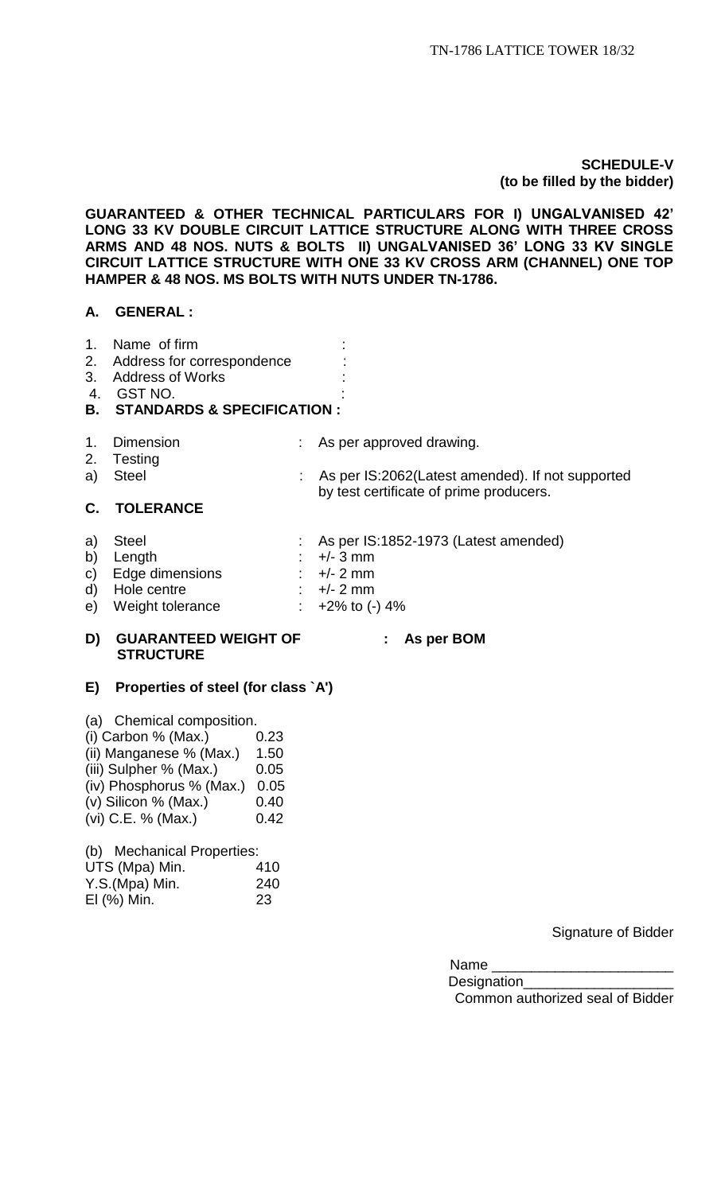## **SCHEDULE-V (to be filled by the bidder)**

**GUARANTEED & OTHER TECHNICAL PARTICULARS FOR I) UNGALVANISED 42' LONG 33 KV DOUBLE CIRCUIT LATTICE STRUCTURE ALONG WITH THREE CROSS ARMS AND 48 NOS. NUTS & BOLTS II) UNGALVANISED 36' LONG 33 KV SINGLE CIRCUIT LATTICE STRUCTURE WITH ONE 33 KV CROSS ARM (CHANNEL) ONE TOP HAMPER & 48 NOS. MS BOLTS WITH NUTS UNDER TN-1786.**

## **A. GENERAL :**

- 1. Name of firm :
- 2. Address for correspondence :
- 3. Address of Works
- 4. GST NO. :

## **B. STANDARDS & SPECIFICATION :**

- 
- 1. Dimension : As per approved drawing.
- 2. Testing<br>a) Steel : As per IS:2062(Latest amended). If not supported by test certificate of prime producers. **C. TOLERANCE**
- a) Steel : As per IS:1852-1973 (Latest amended) b) Length : +/- 3 mm<br>c) Edge dimensions : +/- 2 mm c) Edge dimensions : +/- 2 mm<br>d) Hole centre : +/- 2 mm
- d) Hole centre
- e) Weight tolerance  $\cdot$  +2% to (-) 4%

## **D) GUARANTEED WEIGHT OF : As per BOM STRUCTURE**

# **E) Properties of steel (for class `A')**

(a) Chemical composition.

- (i) Carbon % (Max.)  $0.23$ (ii) Manganese  $%$  (Max.) 1.50
- $(iii)$  Sulpher % (Max.)  $0.05$
- (iv) Phosphorus % (Max.) 0.05
- (v) Silicon % (Max.) 0.40
- (vi) C.E. % (Max.)  $0.42$

(b) Mechanical Properties:

| UTS (Mpa) Min. | 410 |
|----------------|-----|
| Y.S.(Mpa) Min. | 240 |
| EI (%) Min.    | 23  |

Signature of Bidder

Name

Designation Common authorized seal of Bidder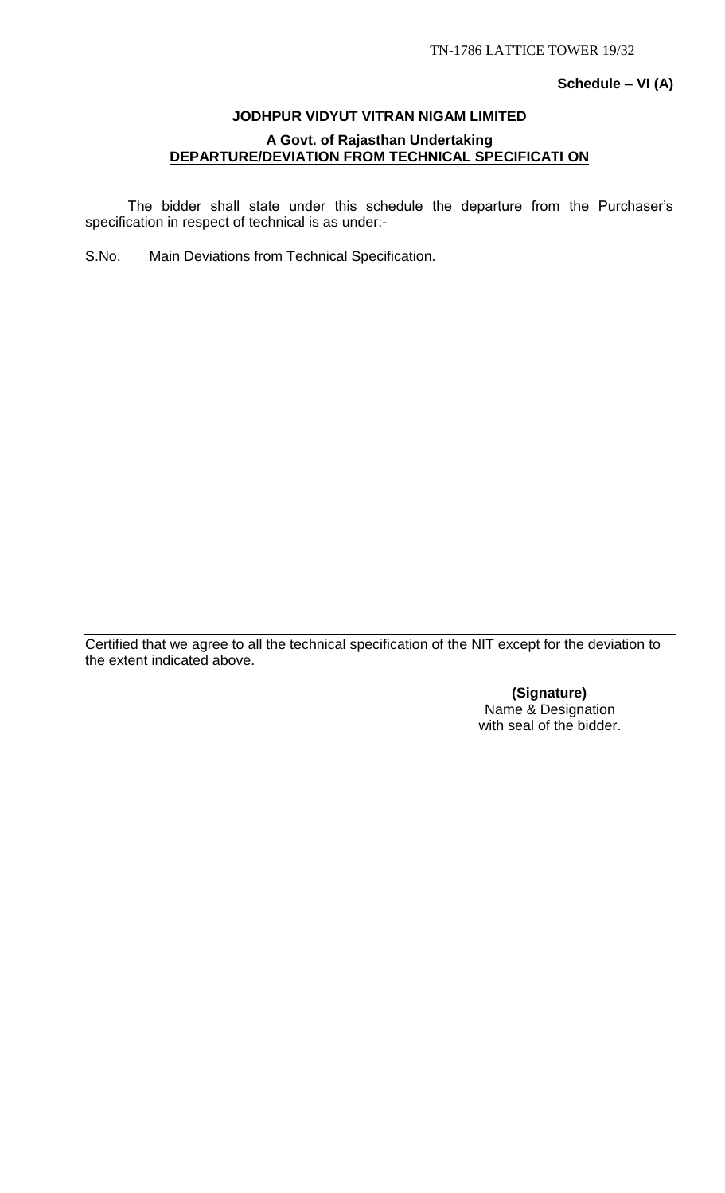## **Schedule – VI (A)**

# **JODHPUR VIDYUT VITRAN NIGAM LIMITED A Govt. of Rajasthan Undertaking DEPARTURE/DEVIATION FROM TECHNICAL SPECIFICATI ON**

The bidder shall state under this schedule the departure from the Purchaser's specification in respect of technical is as under:-

S.No. Main Deviations from Technical Specification.

Certified that we agree to all the technical specification of the NIT except for the deviation to the extent indicated above.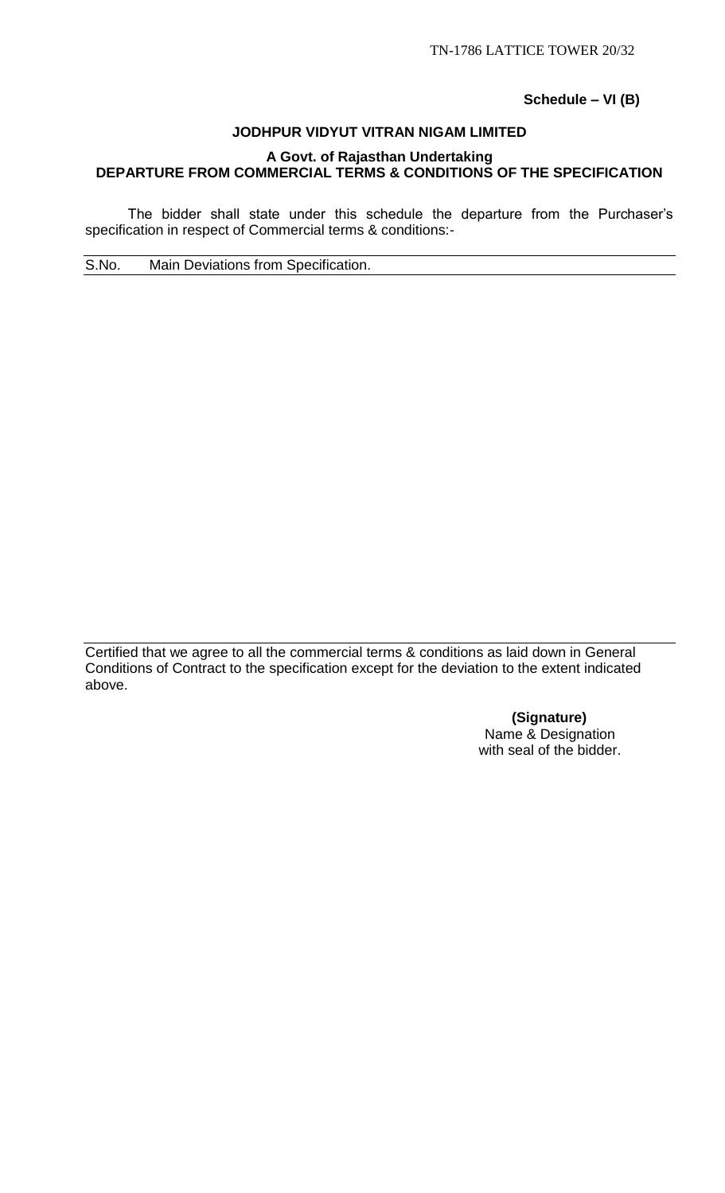**Schedule – VI (B)**

# **JODHPUR VIDYUT VITRAN NIGAM LIMITED A Govt. of Rajasthan Undertaking DEPARTURE FROM COMMERCIAL TERMS & CONDITIONS OF THE SPECIFICATION**

The bidder shall state under this schedule the departure from the Purchaser's specification in respect of Commercial terms & conditions:-

S.No. Main Deviations from Specification.

Certified that we agree to all the commercial terms & conditions as laid down in General Conditions of Contract to the specification except for the deviation to the extent indicated above.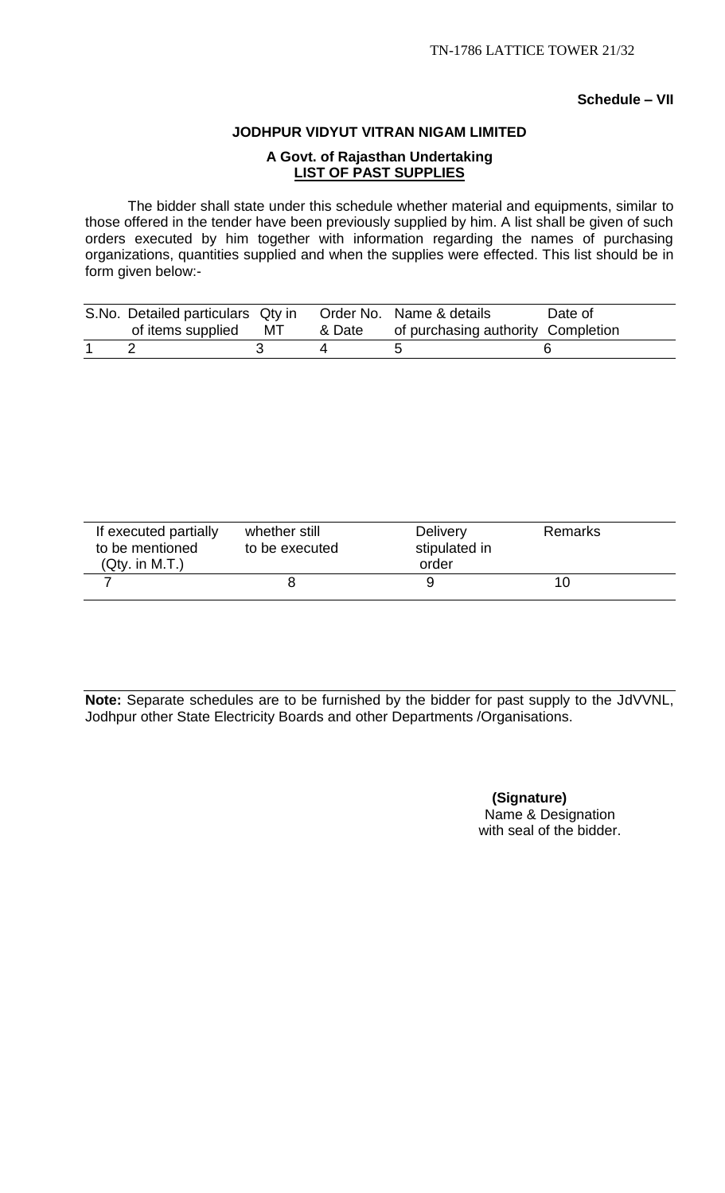## **Schedule – VII**

#### **JODHPUR VIDYUT VITRAN NIGAM LIMITED**

# **A Govt. of Rajasthan Undertaking LIST OF PAST SUPPLIES**

The bidder shall state under this schedule whether material and equipments, similar to those offered in the tender have been previously supplied by him. A list shall be given of such orders executed by him together with information regarding the names of purchasing organizations, quantities supplied and when the supplies were effected. This list should be in form given below:-

| S.No. Detailed particulars Qty in |    |        | Order No. Name & details           | Date of |
|-----------------------------------|----|--------|------------------------------------|---------|
| of items supplied                 | MT | & Date | of purchasing authority Completion |         |
|                                   |    |        |                                    |         |

| If executed partially<br>to be mentioned<br>(Qty. in M.T.) | whether still<br>to be executed | <b>Delivery</b><br>stipulated in<br>order | <b>Remarks</b> |  |
|------------------------------------------------------------|---------------------------------|-------------------------------------------|----------------|--|
|                                                            |                                 |                                           | 10             |  |

**Note:** Separate schedules are to be furnished by the bidder for past supply to the JdVVNL, Jodhpur other State Electricity Boards and other Departments /Organisations.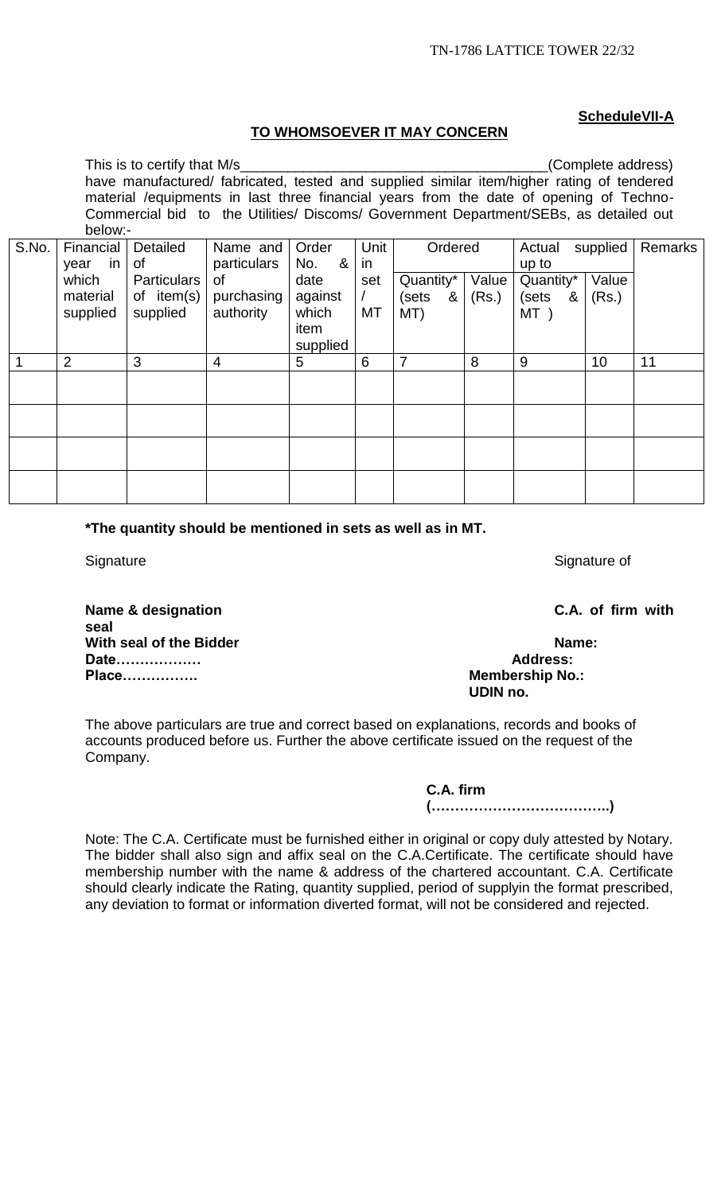# **ScheduleVII-A**

## **TO WHOMSOEVER IT MAY CONCERN**

|       | This is to certify that M/s                                                               |              |                                                                                       |          |      |            |       |            | (Complete address) |         |
|-------|-------------------------------------------------------------------------------------------|--------------|---------------------------------------------------------------------------------------|----------|------|------------|-------|------------|--------------------|---------|
|       | have manufactured/ fabricated, tested and supplied similar item/higher rating of tendered |              |                                                                                       |          |      |            |       |            |                    |         |
|       | material / equipments in last three financial years from the date of opening of Techno-   |              |                                                                                       |          |      |            |       |            |                    |         |
|       |                                                                                           |              | Commercial bid to the Utilities/ Discoms/ Government Department/SEBs, as detailed out |          |      |            |       |            |                    |         |
|       | below:-                                                                                   |              |                                                                                       |          |      |            |       |            |                    |         |
| S.No. | Financial                                                                                 | Detailed     | Name and                                                                              | Order    | Unit | Ordered    |       | Actual     | supplied           | Remarks |
|       | in<br>year                                                                                | of           | particulars                                                                           | &<br>No. | in   |            |       | up to      |                    |         |
|       | which                                                                                     | Particulars  | οf                                                                                    | date     | set  | Quantity*  | Value | Quantity*  | Value              |         |
|       | material                                                                                  | of $item(s)$ | purchasing                                                                            | against  |      | (sets<br>& | (Rs.) | (sets<br>& | (Rs.)              |         |
|       | supplied                                                                                  | supplied     | authority                                                                             | which    | МT   | MT)        |       | MT)        |                    |         |
|       |                                                                                           |              |                                                                                       | item     |      |            |       |            |                    |         |
|       |                                                                                           |              |                                                                                       | supplied |      |            |       |            |                    |         |
|       | 2                                                                                         | 3            | $\overline{4}$                                                                        | 5        | 6    | 7          | 8     | 9          | 10                 | 11      |
|       |                                                                                           |              |                                                                                       |          |      |            |       |            |                    |         |
|       |                                                                                           |              |                                                                                       |          |      |            |       |            |                    |         |
|       |                                                                                           |              |                                                                                       |          |      |            |       |            |                    |         |
|       |                                                                                           |              |                                                                                       |          |      |            |       |            |                    |         |
|       |                                                                                           |              |                                                                                       |          |      |            |       |            |                    |         |
|       |                                                                                           |              |                                                                                       |          |      |            |       |            |                    |         |
|       |                                                                                           |              |                                                                                       |          |      |            |       |            |                    |         |
|       |                                                                                           |              |                                                                                       |          |      |            |       |            |                    |         |

**\*The quantity should be mentioned in sets as well as in MT.**

Signature Signature of Signature of Signature of Signature of Signature of Signature of

**Name & designation C.A. of firm with seal** With seal of the Bidder **Name:** Name: **Date……………… Address: Place……………. Membership No.:**

# **UDIN no.**

The above particulars are true and correct based on explanations, records and books of accounts produced before us. Further the above certificate issued on the request of the Company.

> **C.A. firm (………………………………..)**

Note: The C.A. Certificate must be furnished either in original or copy duly attested by Notary. The bidder shall also sign and affix seal on the C.A.Certificate. The certificate should have membership number with the name & address of the chartered accountant. C.A. Certificate should clearly indicate the Rating, quantity supplied, period of supplyin the format prescribed, any deviation to format or information diverted format, will not be considered and rejected.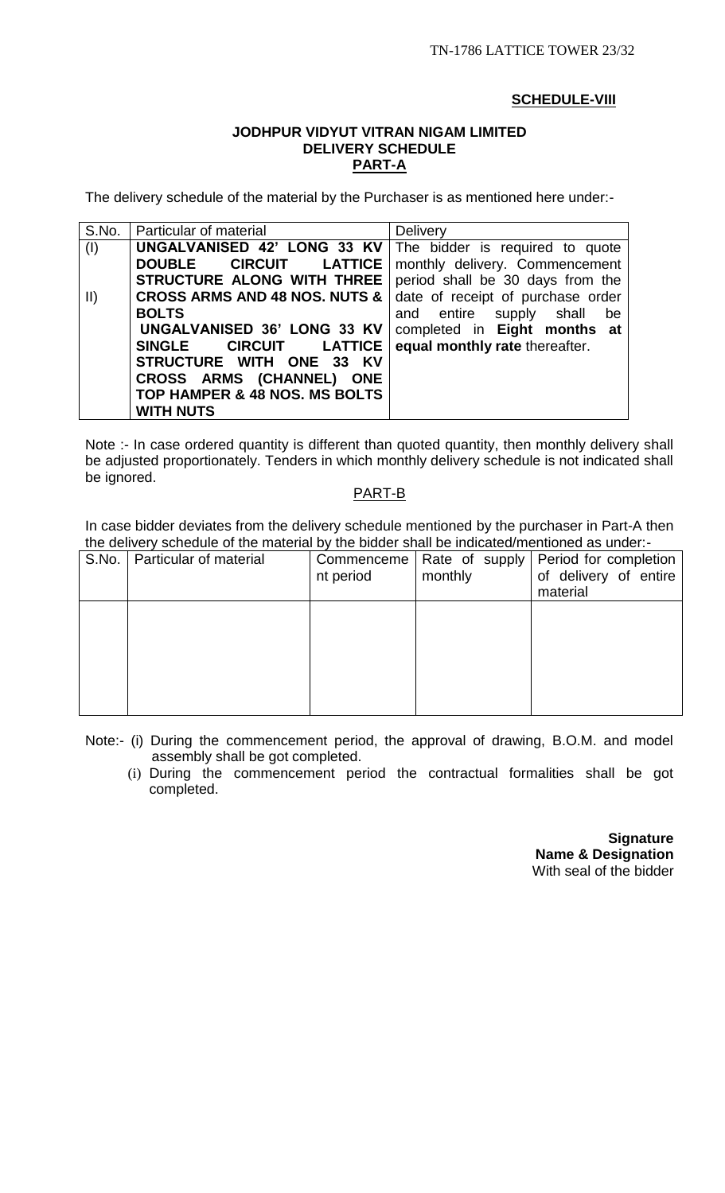## **SCHEDULE-VIII**

## **JODHPUR VIDYUT VITRAN NIGAM LIMITED DELIVERY SCHEDULE PART-A**

The delivery schedule of the material by the Purchaser is as mentioned here under:-

| S.No.         | Particular of material                   | <b>Delivery</b>                   |
|---------------|------------------------------------------|-----------------------------------|
| (I)           | UNGALVANISED 42' LONG 33 KV              | The bidder is required to quote   |
|               | <b>DOUBLE</b><br><b>CIRCUIT LATTICE</b>  | monthly delivery. Commencement    |
|               | STRUCTURE ALONG WITH THREE               | period shall be 30 days from the  |
| $\vert \vert$ | <b>CROSS ARMS AND 48 NOS. NUTS &amp;</b> | date of receipt of purchase order |
|               | <b>BOLTS</b>                             | and entire supply shall<br>be     |
|               | UNGALVANISED 36' LONG 33 KV              | completed in Eight months at      |
|               | CIRCUIT LATTICE<br><b>SINGLE</b>         | equal monthly rate thereafter.    |
|               | STRUCTURE WITH ONE 33 KV                 |                                   |
|               | CROSS ARMS (CHANNEL) ONE                 |                                   |
|               | TOP HAMPER & 48 NOS. MS BOLTS            |                                   |
|               | <b>WITH NUTS</b>                         |                                   |

Note :- In case ordered quantity is different than quoted quantity, then monthly delivery shall be adjusted proportionately. Tenders in which monthly delivery schedule is not indicated shall be ignored.

## PART-B

In case bidder deviates from the delivery schedule mentioned by the purchaser in Part-A then the delivery schedule of the material by the bidder shall be indicated/mentioned as under:-

| S.No. | Particular of material | Commenceme<br>nt period | Rate of supply<br>monthly | Period for completion<br>of delivery of entire<br>material |
|-------|------------------------|-------------------------|---------------------------|------------------------------------------------------------|
|       |                        |                         |                           |                                                            |
|       |                        |                         |                           |                                                            |
|       |                        |                         |                           |                                                            |

Note:- (i) During the commencement period, the approval of drawing, B.O.M. and model assembly shall be got completed.

(i) During the commencement period the contractual formalities shall be got completed.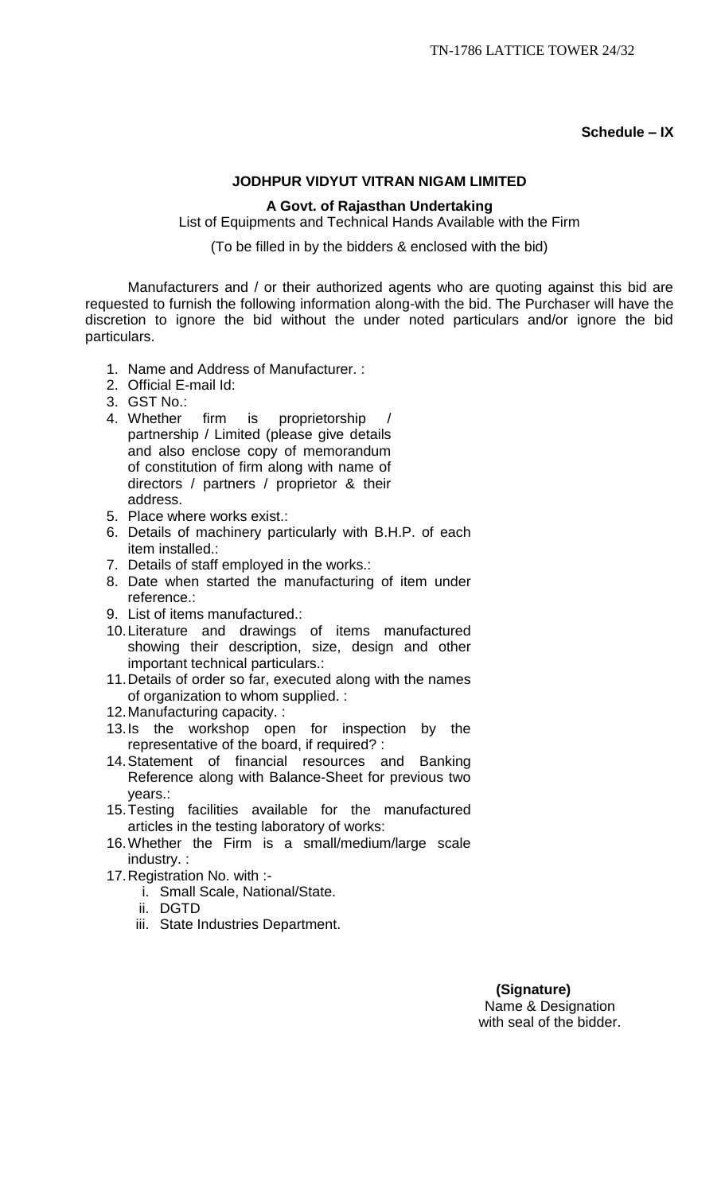**Schedule – IX**

## **JODHPUR VIDYUT VITRAN NIGAM LIMITED**

## **A Govt. of Rajasthan Undertaking**

List of Equipments and Technical Hands Available with the Firm

(To be filled in by the bidders & enclosed with the bid)

Manufacturers and / or their authorized agents who are quoting against this bid are requested to furnish the following information along-with the bid. The Purchaser will have the discretion to ignore the bid without the under noted particulars and/or ignore the bid particulars.

- 1. Name and Address of Manufacturer. :
- 2. Official E-mail Id:
- 3. GST No.:
- 4. Whether firm is proprietorship partnership / Limited (please give details and also enclose copy of memorandum of constitution of firm along with name of directors / partners / proprietor & their address.
- 5. Place where works exist.:
- 6. Details of machinery particularly with B.H.P. of each item installed.:
- 7. Details of staff employed in the works.:
- 8. Date when started the manufacturing of item under reference.:
- 9. List of items manufactured.:
- 10.Literature and drawings of items manufactured showing their description, size, design and other important technical particulars.:
- 11.Details of order so far, executed along with the names of organization to whom supplied. :
- 12.Manufacturing capacity. :
- 13.Is the workshop open for inspection by the representative of the board, if required? :
- 14.Statement of financial resources and Banking Reference along with Balance-Sheet for previous two years.:
- 15.Testing facilities available for the manufactured articles in the testing laboratory of works:
- 16.Whether the Firm is a small/medium/large scale industry. :
- 17.Registration No. with :
	- i. Small Scale, National/State.
	- ii. DGTD
	- iii. State Industries Department.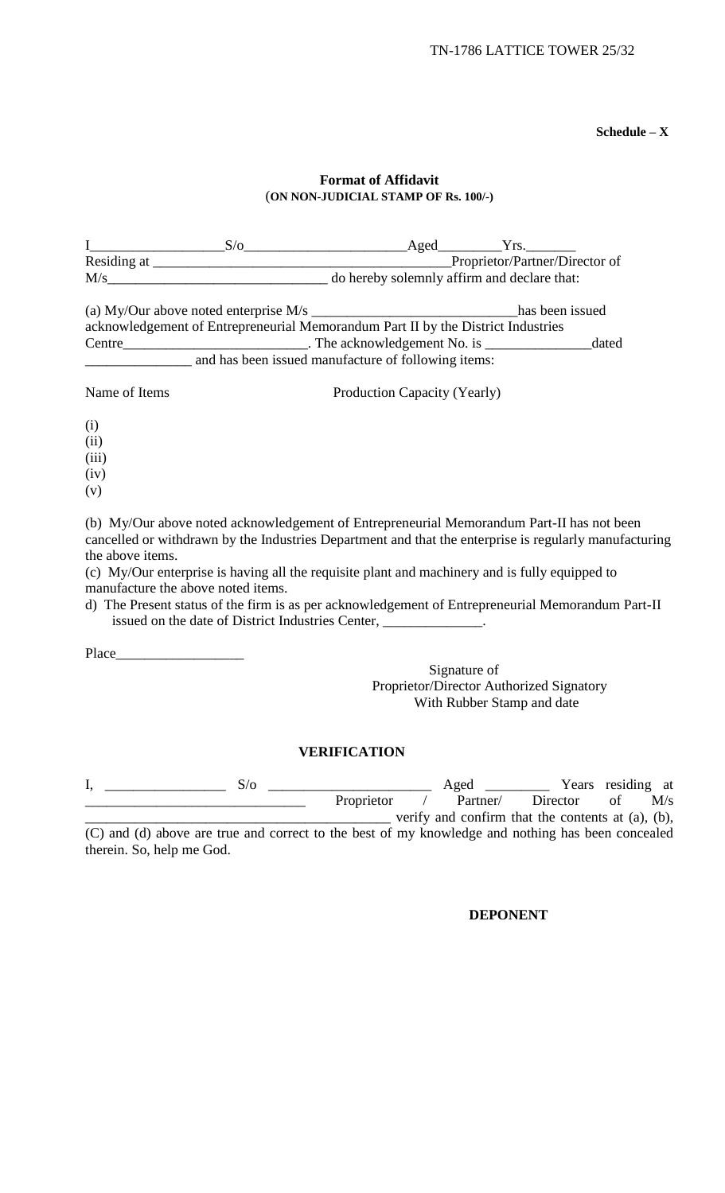**Schedule – X**

## **Format of Affidavit** (**ON NON-JUDICIAL STAMP OF Rs. 100/-)**

|                                     | (a) My/Our above noted enterprise M/s ________________________________has been issued<br>acknowledgement of Entrepreneurial Memorandum Part II by the District Industries<br>and has been issued manufacture of following items:                                                                                                                    |                                          |                            |          | dated                                                                                     |  |  |
|-------------------------------------|-----------------------------------------------------------------------------------------------------------------------------------------------------------------------------------------------------------------------------------------------------------------------------------------------------------------------------------------------------|------------------------------------------|----------------------------|----------|-------------------------------------------------------------------------------------------|--|--|
| Name of Items                       |                                                                                                                                                                                                                                                                                                                                                     | Production Capacity (Yearly)             |                            |          |                                                                                           |  |  |
| (i)<br>(ii)<br>(iii)<br>(iv)<br>(v) | (b) My/Our above noted acknowledgement of Entrepreneurial Memorandum Part-II has not been                                                                                                                                                                                                                                                           |                                          |                            |          |                                                                                           |  |  |
| the above items.                    | cancelled or withdrawn by the Industries Department and that the enterprise is regularly manufacturing<br>(c) My/Our enterprise is having all the requisite plant and machinery and is fully equipped to<br>manufacture the above noted items.<br>d) The Present status of the firm is as per acknowledgement of Entrepreneurial Memorandum Part-II |                                          |                            |          |                                                                                           |  |  |
|                                     | issued on the date of District Industries Center, _____________.                                                                                                                                                                                                                                                                                    |                                          |                            |          |                                                                                           |  |  |
|                                     |                                                                                                                                                                                                                                                                                                                                                     | Proprietor/Director Authorized Signatory | Signature of               |          |                                                                                           |  |  |
|                                     |                                                                                                                                                                                                                                                                                                                                                     | <b>VERIFICATION</b>                      | With Rubber Stamp and date |          |                                                                                           |  |  |
| I,                                  | S/O                                                                                                                                                                                                                                                                                                                                                 | Proprietor                               | Aged<br>Partner/           | Director | Years residing at<br>of<br>M/s<br>verify and confirm that the contents at $(a)$ , $(b)$ , |  |  |
| therein. So, help me God.           | (C) and (d) above are true and correct to the best of my knowledge and nothing has been concealed                                                                                                                                                                                                                                                   |                                          |                            |          |                                                                                           |  |  |

**DEPONENT**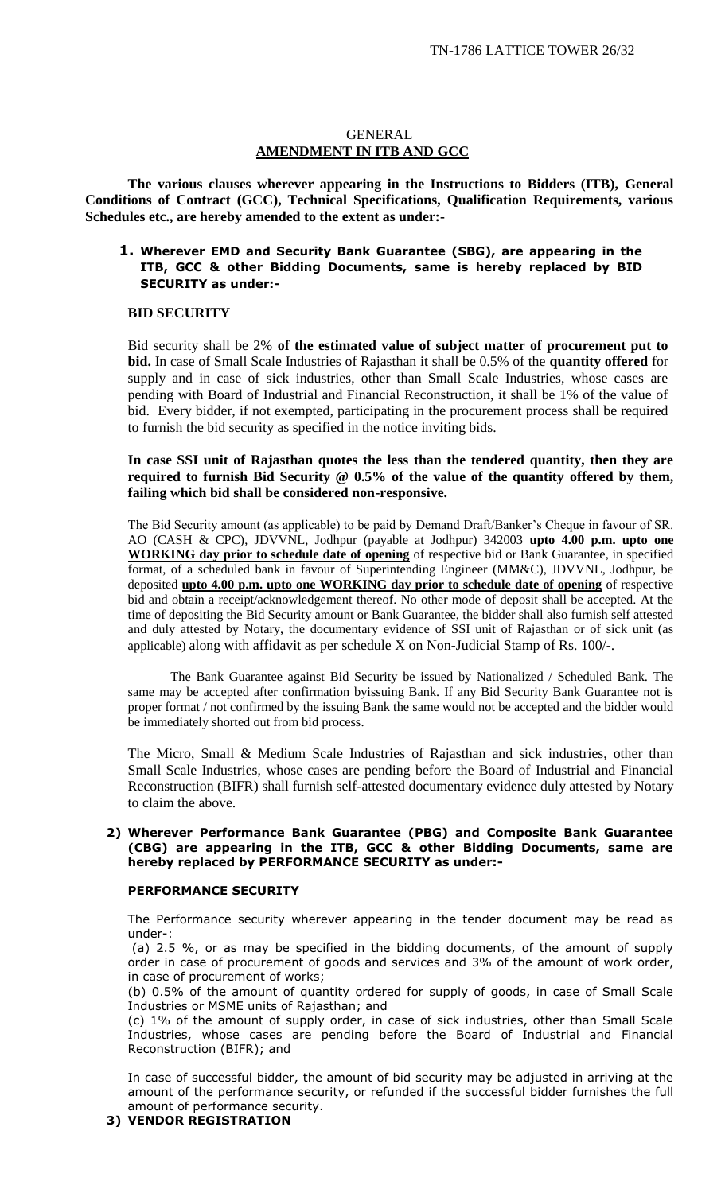#### GENERAL **AMENDMENT IN ITB AND GCC**

**The various clauses wherever appearing in the Instructions to Bidders (ITB), General Conditions of Contract (GCC), Technical Specifications, Qualification Requirements, various Schedules etc., are hereby amended to the extent as under:-**

## **1. Wherever EMD and Security Bank Guarantee (SBG), are appearing in the ITB, GCC & other Bidding Documents, same is hereby replaced by BID SECURITY as under:-**

#### **BID SECURITY**

Bid security shall be 2% **of the estimated value of subject matter of procurement put to bid.** In case of Small Scale Industries of Rajasthan it shall be 0.5% of the **quantity offered** for supply and in case of sick industries, other than Small Scale Industries, whose cases are pending with Board of Industrial and Financial Reconstruction, it shall be 1% of the value of bid. Every bidder, if not exempted, participating in the procurement process shall be required to furnish the bid security as specified in the notice inviting bids.

#### **In case SSI unit of Rajasthan quotes the less than the tendered quantity, then they are required to furnish Bid Security @ 0.5% of the value of the quantity offered by them, failing which bid shall be considered non-responsive.**

The Bid Security amount (as applicable) to be paid by Demand Draft/Banker's Cheque in favour of SR. AO (CASH & CPC), JDVVNL, Jodhpur (payable at Jodhpur) 342003 **upto 4.00 p.m. upto one WORKING day prior to schedule date of opening** of respective bid or Bank Guarantee, in specified format, of a scheduled bank in favour of Superintending Engineer (MM&C), JDVVNL, Jodhpur, be deposited **upto 4.00 p.m. upto one WORKING day prior to schedule date of opening** of respective bid and obtain a receipt/acknowledgement thereof. No other mode of deposit shall be accepted. At the time of depositing the Bid Security amount or Bank Guarantee, the bidder shall also furnish self attested and duly attested by Notary, the documentary evidence of SSI unit of Rajasthan or of sick unit (as applicable) along with affidavit as per schedule  $X$  on Non-Judicial Stamp of Rs. 100/ $\cdot$ .

The Bank Guarantee against Bid Security be issued by Nationalized / Scheduled Bank. The same may be accepted after confirmation byissuing Bank. If any Bid Security Bank Guarantee not is proper format / not confirmed by the issuing Bank the same would not be accepted and the bidder would be immediately shorted out from bid process.

The Micro, Small & Medium Scale Industries of Rajasthan and sick industries, other than Small Scale Industries, whose cases are pending before the Board of Industrial and Financial Reconstruction (BIFR) shall furnish self-attested documentary evidence duly attested by Notary to claim the above.

#### **2) Wherever Performance Bank Guarantee (PBG) and Composite Bank Guarantee (CBG) are appearing in the ITB, GCC & other Bidding Documents, same are hereby replaced by PERFORMANCE SECURITY as under:-**

#### **PERFORMANCE SECURITY**

The Performance security wherever appearing in the tender document may be read as under-:

(a) 2.5 %, or as may be specified in the bidding documents, of the amount of supply order in case of procurement of goods and services and 3% of the amount of work order, in case of procurement of works;

(b) 0.5% of the amount of quantity ordered for supply of goods, in case of Small Scale Industries or MSME units of Rajasthan; and

(c) 1% of the amount of supply order, in case of sick industries, other than Small Scale Industries, whose cases are pending before the Board of Industrial and Financial Reconstruction (BIFR); and

In case of successful bidder, the amount of bid security may be adjusted in arriving at the amount of the performance security, or refunded if the successful bidder furnishes the full amount of performance security.

#### **3) VENDOR REGISTRATION**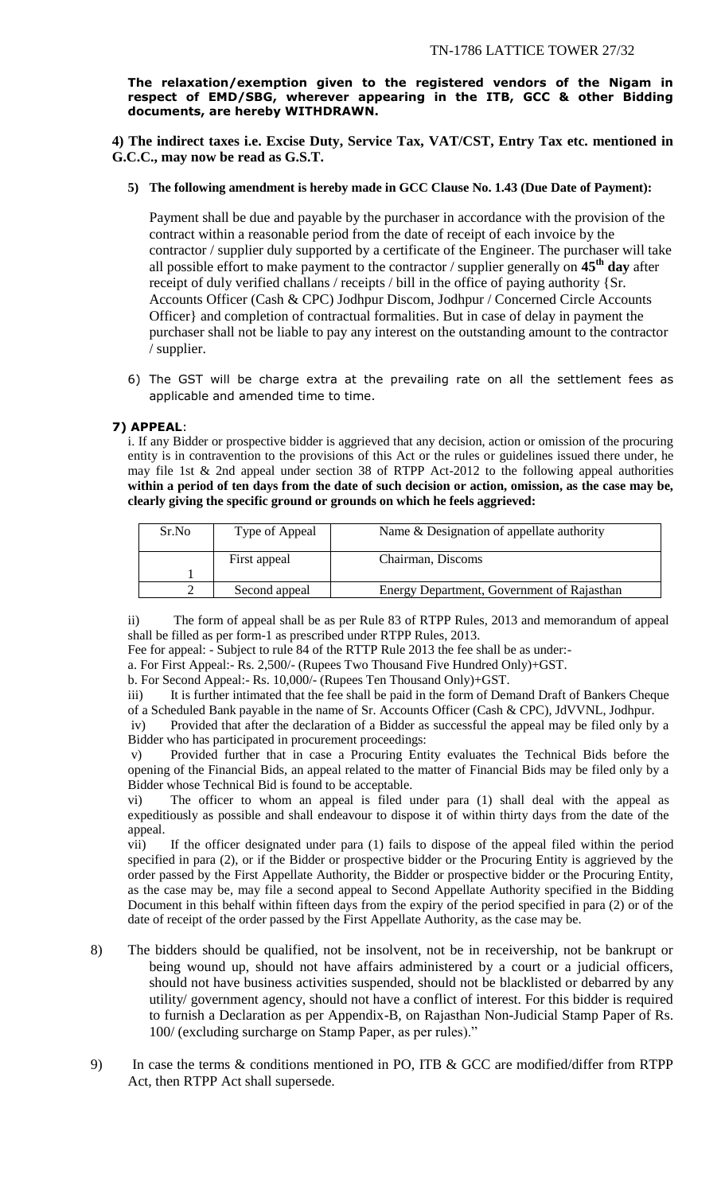**The relaxation/exemption given to the registered vendors of the Nigam in respect of EMD/SBG, wherever appearing in the ITB, GCC & other Bidding documents, are hereby WITHDRAWN.** 

**4) The indirect taxes i.e. Excise Duty, Service Tax, VAT/CST, Entry Tax etc. mentioned in G.C.C., may now be read as G.S.T.** 

**5) The following amendment is hereby made in GCC Clause No. 1.43 (Due Date of Payment):**

Payment shall be due and payable by the purchaser in accordance with the provision of the contract within a reasonable period from the date of receipt of each invoice by the contractor / supplier duly supported by a certificate of the Engineer. The purchaser will take all possible effort to make payment to the contractor / supplier generally on **45th day** after receipt of duly verified challans / receipts / bill in the office of paying authority {Sr. Accounts Officer (Cash & CPC) Jodhpur Discom, Jodhpur / Concerned Circle Accounts Officer} and completion of contractual formalities. But in case of delay in payment the purchaser shall not be liable to pay any interest on the outstanding amount to the contractor / supplier.

6) The GST will be charge extra at the prevailing rate on all the settlement fees as applicable and amended time to time.

## **7) APPEAL**:

i. If any Bidder or prospective bidder is aggrieved that any decision, action or omission of the procuring entity is in contravention to the provisions of this Act or the rules or guidelines issued there under, he may file 1st & 2nd appeal under section 38 of RTPP Act-2012 to the following appeal authorities **within a period of ten days from the date of such decision or action, omission, as the case may be, clearly giving the specific ground or grounds on which he feels aggrieved:** 

| Sr.No | Type of Appeal | Name & Designation of appellate authority  |  |
|-------|----------------|--------------------------------------------|--|
|       | First appeal   | Chairman, Discoms                          |  |
|       |                |                                            |  |
|       | Second appeal  | Energy Department, Government of Rajasthan |  |

ii) The form of appeal shall be as per Rule 83 of RTPP Rules, 2013 and memorandum of appeal shall be filled as per form-1 as prescribed under RTPP Rules, 2013.

Fee for appeal: - Subject to rule 84 of the RTTP Rule 2013 the fee shall be as under:-

a. For First Appeal:- Rs. 2,500/- (Rupees Two Thousand Five Hundred Only)+GST.

b. For Second Appeal:- Rs. 10,000/- (Rupees Ten Thousand Only)+GST.

iii) It is further intimated that the fee shall be paid in the form of Demand Draft of Bankers Cheque of a Scheduled Bank payable in the name of Sr. Accounts Officer (Cash & CPC), JdVVNL, Jodhpur.

iv) Provided that after the declaration of a Bidder as successful the appeal may be filed only by a Bidder who has participated in procurement proceedings:

v) Provided further that in case a Procuring Entity evaluates the Technical Bids before the opening of the Financial Bids, an appeal related to the matter of Financial Bids may be filed only by a Bidder whose Technical Bid is found to be acceptable.

vi) The officer to whom an appeal is filed under para (1) shall deal with the appeal as expeditiously as possible and shall endeavour to dispose it of within thirty days from the date of the appeal.

vii) If the officer designated under para (1) fails to dispose of the appeal filed within the period specified in para (2), or if the Bidder or prospective bidder or the Procuring Entity is aggrieved by the order passed by the First Appellate Authority, the Bidder or prospective bidder or the Procuring Entity, as the case may be, may file a second appeal to Second Appellate Authority specified in the Bidding Document in this behalf within fifteen days from the expiry of the period specified in para (2) or of the date of receipt of the order passed by the First Appellate Authority, as the case may be.

- 8) The bidders should be qualified, not be insolvent, not be in receivership, not be bankrupt or being wound up, should not have affairs administered by a court or a judicial officers, should not have business activities suspended, should not be blacklisted or debarred by any utility/ government agency, should not have a conflict of interest. For this bidder is required to furnish a Declaration as per Appendix-B, on Rajasthan Non-Judicial Stamp Paper of Rs. 100/ (excluding surcharge on Stamp Paper, as per rules)."
- 9) In case the terms & conditions mentioned in PO, ITB & GCC are modified/differ from RTPP Act, then RTPP Act shall supersede.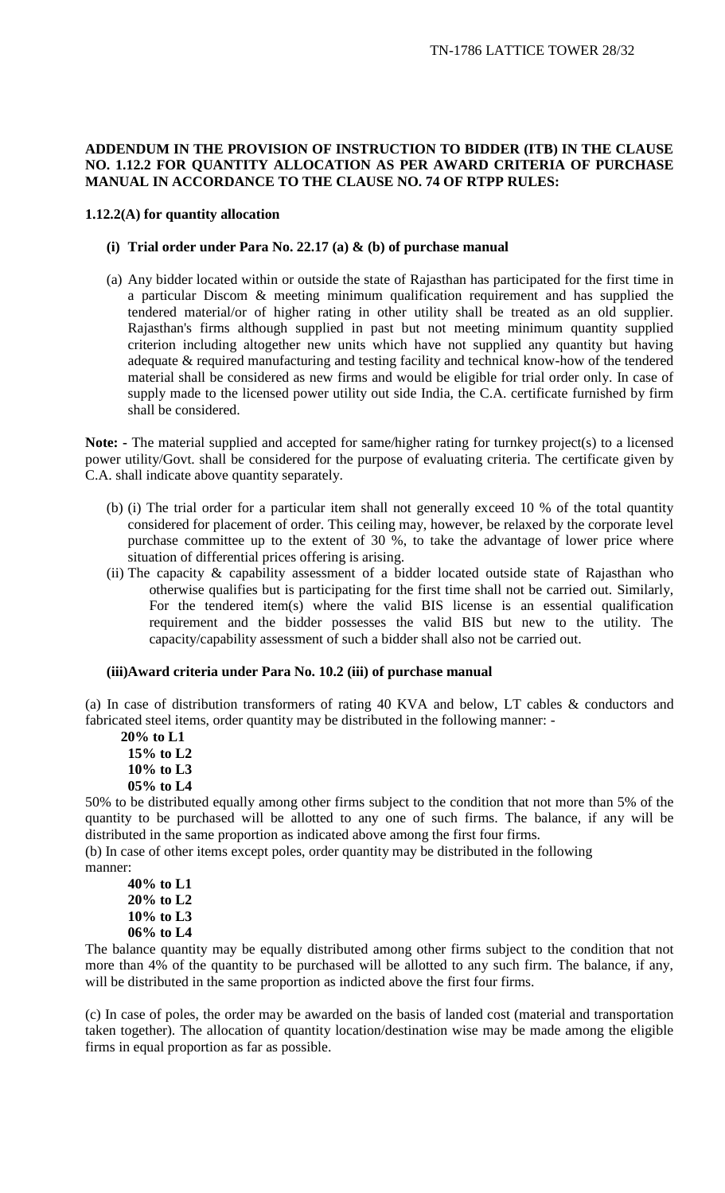### **ADDENDUM IN THE PROVISION OF INSTRUCTION TO BIDDER (ITB) IN THE CLAUSE NO. 1.12.2 FOR QUANTITY ALLOCATION AS PER AWARD CRITERIA OF PURCHASE MANUAL IN ACCORDANCE TO THE CLAUSE NO. 74 OF RTPP RULES:**

#### **1.12.2(A) for quantity allocation**

#### **(i) Trial order under Para No. 22.17 (a) & (b) of purchase manual**

(a) Any bidder located within or outside the state of Rajasthan has participated for the first time in a particular Discom & meeting minimum qualification requirement and has supplied the tendered material/or of higher rating in other utility shall be treated as an old supplier. Rajasthan's firms although supplied in past but not meeting minimum quantity supplied criterion including altogether new units which have not supplied any quantity but having adequate & required manufacturing and testing facility and technical know-how of the tendered material shall be considered as new firms and would be eligible for trial order only. In case of supply made to the licensed power utility out side India, the C.A. certificate furnished by firm shall be considered.

**Note: -** The material supplied and accepted for same/higher rating for turnkey project(s) to a licensed power utility/Govt. shall be considered for the purpose of evaluating criteria. The certificate given by C.A. shall indicate above quantity separately.

- (b) (i) The trial order for a particular item shall not generally exceed 10 % of the total quantity considered for placement of order. This ceiling may, however, be relaxed by the corporate level purchase committee up to the extent of 30 %, to take the advantage of lower price where situation of differential prices offering is arising.
- (ii) The capacity  $\&$  capability assessment of a bidder located outside state of Rajasthan who otherwise qualifies but is participating for the first time shall not be carried out. Similarly, For the tendered item(s) where the valid BIS license is an essential qualification requirement and the bidder possesses the valid BIS but new to the utility. The capacity/capability assessment of such a bidder shall also not be carried out.

#### **(iii)Award criteria under Para No. 10.2 (iii) of purchase manual**

(a) In case of distribution transformers of rating 40 KVA and below, LT cables & conductors and fabricated steel items, order quantity may be distributed in the following manner: -

 **20% to L1 15% to L2 10% to L3 05% to L4**

50% to be distributed equally among other firms subject to the condition that not more than 5% of the quantity to be purchased will be allotted to any one of such firms. The balance, if any will be distributed in the same proportion as indicated above among the first four firms.

(b) In case of other items except poles, order quantity may be distributed in the following manner:

**40% to L1 20% to L2 10% to L3 06% to L4**

The balance quantity may be equally distributed among other firms subject to the condition that not more than 4% of the quantity to be purchased will be allotted to any such firm. The balance, if any, will be distributed in the same proportion as indicted above the first four firms.

(c) In case of poles, the order may be awarded on the basis of landed cost (material and transportation taken together). The allocation of quantity location/destination wise may be made among the eligible firms in equal proportion as far as possible.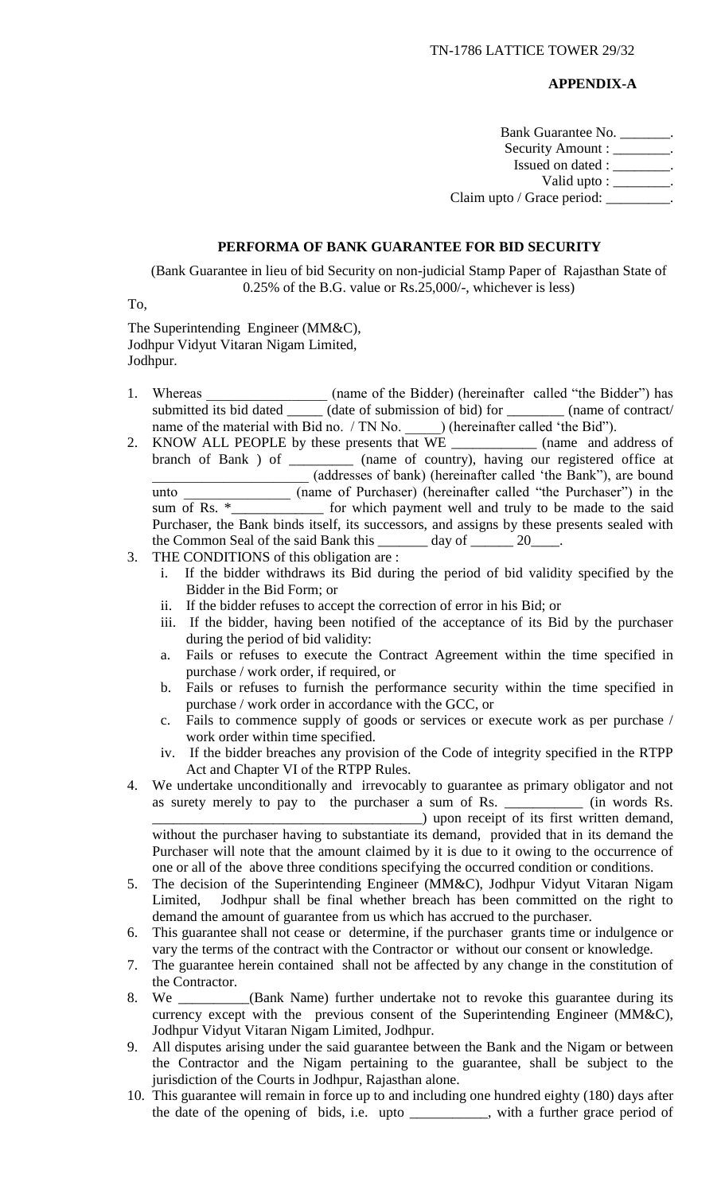#### **APPENDIX-A**

Bank Guarantee No. \_\_\_\_\_\_\_. Security Amount : \_\_\_\_\_\_\_\_. Issued on dated : \_\_\_\_\_\_\_\_. Valid upto :  $\frac{\ }{\ }$ . Claim upto / Grace period: \_\_\_\_\_\_\_\_\_

#### **PERFORMA OF BANK GUARANTEE FOR BID SECURITY**

(Bank Guarantee in lieu of bid Security on non-judicial Stamp Paper of Rajasthan State of 0.25% of the B.G. value or Rs.25,000/-, whichever is less)

To,

The Superintending Engineer (MM&C), Jodhpur Vidyut Vitaran Nigam Limited, Jodhpur.

- 1. Whereas (name of the Bidder) (hereinafter called "the Bidder") has submitted its bid dated \_\_\_\_\_\_ (date of submission of bid) for \_\_\_\_\_\_\_\_\_ (name of contract/ name of the material with Bid no. / TN No. \_\_\_\_\_\_\_) (hereinafter called 'the Bid'').
- 2. KNOW ALL PEOPLE by these presents that WE \_\_\_\_\_\_\_\_\_\_\_\_ (name and address of branch of Bank ) of \_\_\_\_\_\_\_\_\_ (name of country), having our registered office at \_\_\_\_\_\_\_\_\_\_\_\_\_\_\_\_\_\_\_\_\_\_ (addresses of bank) (hereinafter called 'the Bank"), are bound unto \_\_\_\_\_\_\_\_\_\_\_\_\_ (name of Purchaser) (hereinafter called "the Purchaser") in the sum of Rs. \*\_\_\_\_\_\_\_\_\_\_\_\_\_ for which payment well and truly to be made to the said Purchaser, the Bank binds itself, its successors, and assigns by these presents sealed with the Common Seal of the said Bank this day of 20
- 3. THE CONDITIONS of this obligation are :
	- i. If the bidder withdraws its Bid during the period of bid validity specified by the Bidder in the Bid Form; or
	- ii. If the bidder refuses to accept the correction of error in his Bid; or
	- iii. If the bidder, having been notified of the acceptance of its Bid by the purchaser during the period of bid validity:
	- a. Fails or refuses to execute the Contract Agreement within the time specified in purchase / work order, if required, or
	- b. Fails or refuses to furnish the performance security within the time specified in purchase / work order in accordance with the GCC, or
	- c. Fails to commence supply of goods or services or execute work as per purchase / work order within time specified.
	- iv. If the bidder breaches any provision of the Code of integrity specified in the RTPP Act and Chapter VI of the RTPP Rules.
- 4. We undertake unconditionally and irrevocably to guarantee as primary obligator and not as surety merely to pay to the purchaser a sum of Rs. \_\_\_\_\_\_\_\_\_\_\_ (in words Rs. \_\_\_\_\_\_\_\_\_\_\_\_\_\_\_\_\_\_\_\_\_\_\_\_\_\_\_\_\_\_\_\_\_\_\_\_\_\_) upon receipt of its first written demand, without the purchaser having to substantiate its demand, provided that in its demand the Purchaser will note that the amount claimed by it is due to it owing to the occurrence of one or all of the above three conditions specifying the occurred condition or conditions.
- 5. The decision of the Superintending Engineer (MM&C), Jodhpur Vidyut Vitaran Nigam Limited, Jodhpur shall be final whether breach has been committed on the right to demand the amount of guarantee from us which has accrued to the purchaser.
- 6. This guarantee shall not cease or determine, if the purchaser grants time or indulgence or vary the terms of the contract with the Contractor or without our consent or knowledge.
- 7. The guarantee herein contained shall not be affected by any change in the constitution of the Contractor.
- 8. We \_\_\_\_\_\_\_\_\_\_(Bank Name) further undertake not to revoke this guarantee during its currency except with the previous consent of the Superintending Engineer (MM&C), Jodhpur Vidyut Vitaran Nigam Limited, Jodhpur.
- 9. All disputes arising under the said guarantee between the Bank and the Nigam or between the Contractor and the Nigam pertaining to the guarantee, shall be subject to the jurisdiction of the Courts in Jodhpur, Rajasthan alone.
- 10. This guarantee will remain in force up to and including one hundred eighty (180) days after the date of the opening of bids, i.e. upto \_\_\_\_\_\_\_\_\_\_\_, with a further grace period of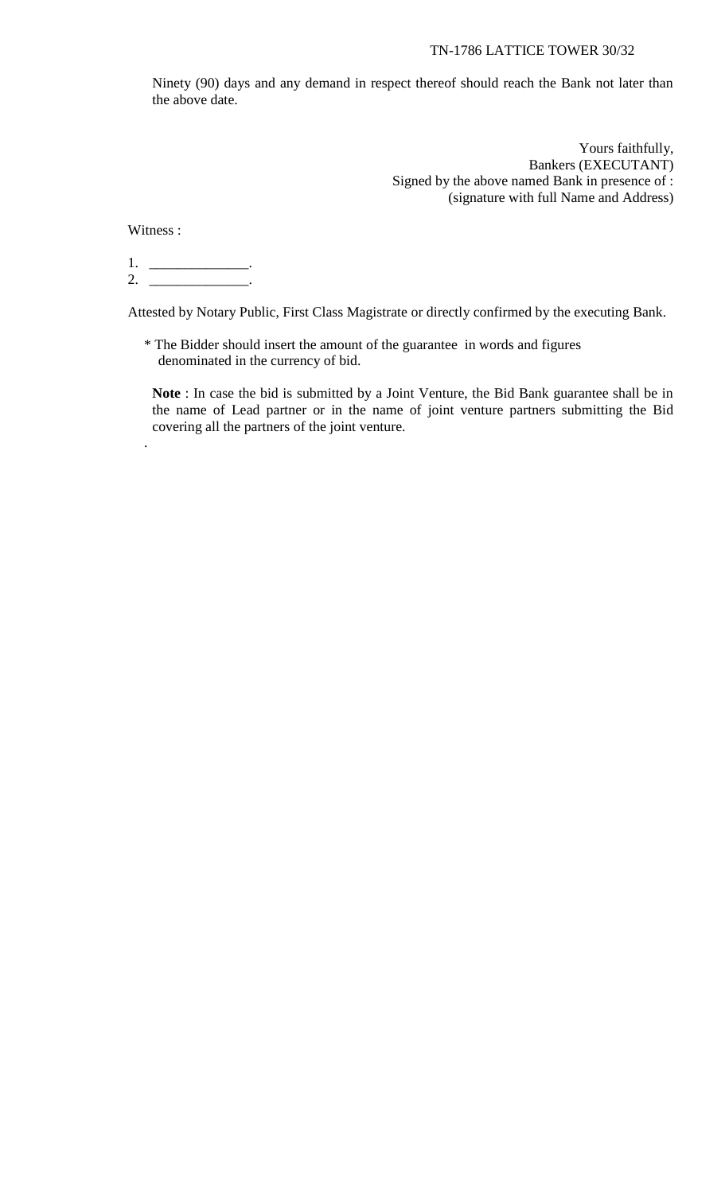Ninety (90) days and any demand in respect thereof should reach the Bank not later than the above date.

> Yours faithfully, Bankers (EXECUTANT) Signed by the above named Bank in presence of : (signature with full Name and Address)

Witness :

.

1. \_\_\_\_\_\_\_\_\_\_\_\_\_\_\_\_\_. 2. \_\_\_\_\_\_\_\_\_\_\_\_\_\_\_\_\_.

Attested by Notary Public, First Class Magistrate or directly confirmed by the executing Bank.

\* The Bidder should insert the amount of the guarantee in words and figures denominated in the currency of bid.

**Note** : In case the bid is submitted by a Joint Venture, the Bid Bank guarantee shall be in the name of Lead partner or in the name of joint venture partners submitting the Bid covering all the partners of the joint venture.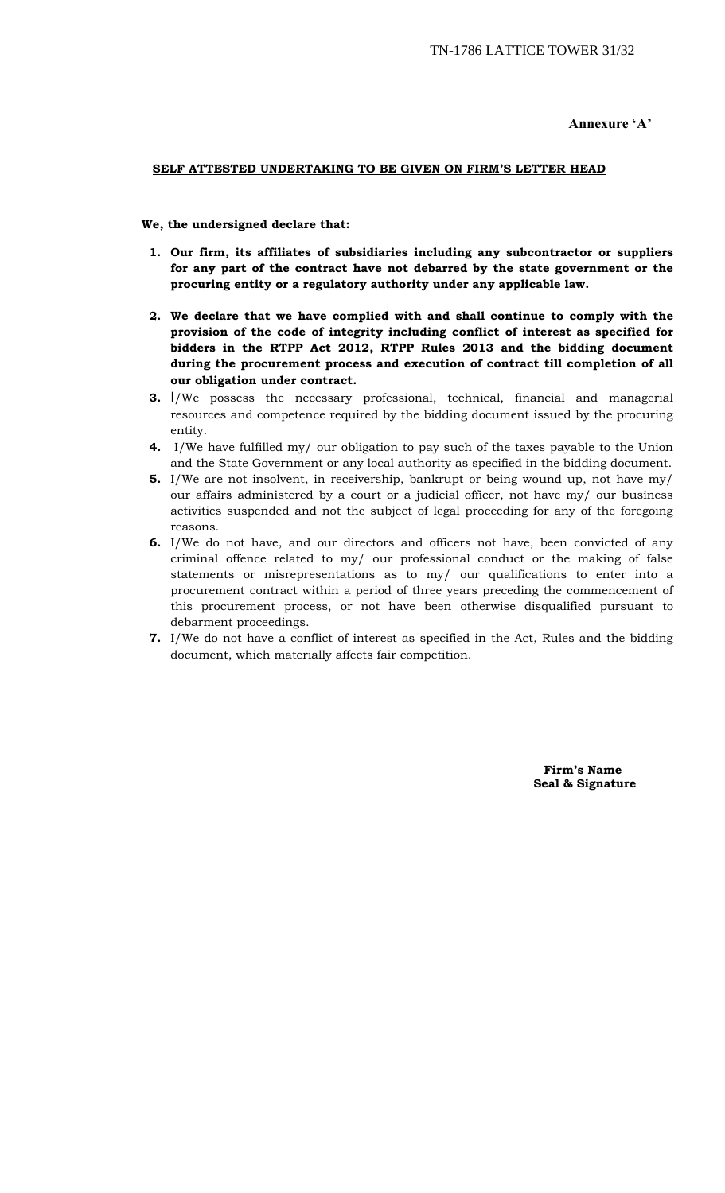**Annexure 'A'**

#### **SELF ATTESTED UNDERTAKING TO BE GIVEN ON FIRM'S LETTER HEAD**

 **We, the undersigned declare that:**

- **1. Our firm, its affiliates of subsidiaries including any subcontractor or suppliers for any part of the contract have not debarred by the state government or the procuring entity or a regulatory authority under any applicable law.**
- **2. We declare that we have complied with and shall continue to comply with the provision of the code of integrity including conflict of interest as specified for bidders in the RTPP Act 2012, RTPP Rules 2013 and the bidding document during the procurement process and execution of contract till completion of all our obligation under contract.**
- **3.** I/We possess the necessary professional, technical, financial and managerial resources and competence required by the bidding document issued by the procuring entity.
- **4.** I/We have fulfilled my/ our obligation to pay such of the taxes payable to the Union and the State Government or any local authority as specified in the bidding document.
- **5.** I/We are not insolvent, in receivership, bankrupt or being wound up, not have my/ our affairs administered by a court or a judicial officer, not have my/ our business activities suspended and not the subject of legal proceeding for any of the foregoing reasons.
- **6.** I/We do not have, and our directors and officers not have, been convicted of any criminal offence related to my/ our professional conduct or the making of false statements or misrepresentations as to my/ our qualifications to enter into a procurement contract within a period of three years preceding the commencement of this procurement process, or not have been otherwise disqualified pursuant to debarment proceedings.
- **7.** I/We do not have a conflict of interest as specified in the Act, Rules and the bidding document, which materially affects fair competition.

 **Firm's Name Seal & Signature**